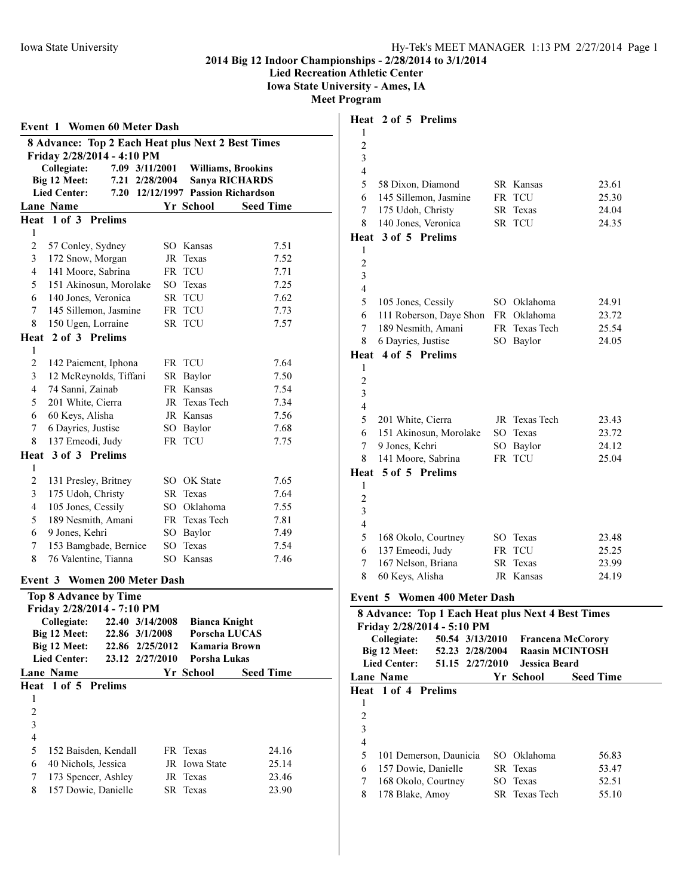Lied Recreation Athletic Center

Iowa State University - Ames, IA

|                         | <b>Event 1 Women 60 Meter Dash</b>                |                 |                |  |                               |                           |                  |
|-------------------------|---------------------------------------------------|-----------------|----------------|--|-------------------------------|---------------------------|------------------|
|                         | 8 Advance: Top 2 Each Heat plus Next 2 Best Times |                 |                |  |                               |                           |                  |
|                         | Friday 2/28/2014 - 4:10 PM                        |                 |                |  |                               |                           |                  |
|                         | Collegiate:                                       |                 | 7.09 3/11/2001 |  |                               | <b>Williams, Brookins</b> |                  |
|                         | Big 12 Meet:                                      | 7.21            | 2/28/2004      |  |                               | <b>Sanya RICHARDS</b>     |                  |
|                         | <b>Lied Center:</b>                               | 7.20            |                |  | 12/12/1997 Passion Richardson |                           |                  |
|                         | Lane Name                                         |                 |                |  | Yr School                     |                           | <b>Seed Time</b> |
|                         | Heat 1 of 3 Prelims                               |                 |                |  |                               |                           |                  |
| 1                       |                                                   |                 |                |  |                               |                           |                  |
| $\overline{2}$          | 57 Conley, Sydney                                 |                 |                |  | SO Kansas                     |                           | 7.51             |
| 3                       | 172 Snow, Morgan                                  |                 |                |  | JR Texas                      |                           | 7.52             |
| 4                       | 141 Moore, Sabrina                                |                 |                |  | FR TCU                        |                           | 7.71             |
| 5                       | 151 Akinosun, Morolake                            |                 |                |  | SO Texas                      |                           | 7.25             |
| 6                       | 140 Jones, Veronica                               |                 |                |  | SR TCU                        |                           | 7.62             |
| 7                       | 145 Sillemon, Jasmine                             |                 |                |  | FR TCU                        |                           | 7.73             |
| 8                       | 150 Ugen, Lorraine                                |                 |                |  | SR TCU                        |                           | 7.57             |
|                         | Heat 2 of 3 Prelims                               |                 |                |  |                               |                           |                  |
| 1                       |                                                   |                 |                |  |                               |                           |                  |
| $\overline{2}$          | 142 Paiement, Iphona                              |                 |                |  | FR TCU                        |                           | 7.64             |
| 3                       | 12 McReynolds, Tiffani                            |                 |                |  | SR Baylor                     |                           | 7.50             |
| 4                       | 74 Sanni, Zainab                                  |                 |                |  | FR Kansas                     |                           | 7.54             |
| 5                       | 201 White, Cierra                                 |                 |                |  | JR Texas Tech                 |                           | 7.34             |
| 6                       | 60 Keys, Alisha                                   |                 |                |  | JR Kansas                     |                           | 7.56             |
| 7                       | 6 Dayries, Justise                                |                 |                |  | SO Baylor                     |                           | 7.68             |
| 8                       | 137 Emeodi, Judy                                  |                 |                |  | FR TCU                        |                           | 7.75             |
| Heat                    | 3 of 3 Prelims                                    |                 |                |  |                               |                           |                  |
| 1                       |                                                   |                 |                |  |                               |                           |                  |
| $\overline{c}$          | 131 Presley, Britney                              |                 |                |  | SO OK State                   |                           | 7.65             |
| 3                       | 175 Udoh, Christy                                 |                 |                |  | SR Texas                      |                           | 7.64             |
| $\overline{4}$          | 105 Jones, Cessily                                |                 |                |  | SO Oklahoma                   |                           | 7.55             |
| 5                       | 189 Nesmith, Amani                                |                 |                |  | FR Texas Tech                 |                           | 7.81             |
| 6                       | 9 Jones, Kehri                                    |                 |                |  | SO Baylor                     |                           | 7.49             |
| 7                       | 153 Bamgbade, Bernice                             |                 |                |  | SO Texas                      |                           | 7.54             |
| 8                       | 76 Valentine, Tianna                              |                 |                |  | SO Kansas                     |                           | 7.46             |
|                         | Event 3 Women 200 Meter Dash                      |                 |                |  |                               |                           |                  |
|                         | Top 8 Advance by Time                             |                 |                |  |                               |                           |                  |
|                         | Friday 2/28/2014 - 7:10 PM                        |                 |                |  |                               |                           |                  |
|                         | Collegiate:                                       | 22.40 3/14/2008 |                |  | <b>Bianca Knight</b>          |                           |                  |
|                         | Big 12 Meet:                                      | 22.86           | 3/1/2008       |  | Porscha LUCAS                 |                           |                  |
|                         | Big 12 Meet:                                      | 22.86           | 2/25/2012      |  | Kamaria Brown                 |                           |                  |
|                         | <b>Lied Center:</b>                               | 23.12           | 2/27/2010      |  | Porsha Lukas                  |                           |                  |
|                         | Lane Name                                         |                 |                |  | Yr School                     |                           | <b>Seed Time</b> |
| Heat                    | $1$ of $5$                                        | <b>Prelims</b>  |                |  |                               |                           |                  |
| 1                       |                                                   |                 |                |  |                               |                           |                  |
| $\overline{c}$          |                                                   |                 |                |  |                               |                           |                  |
| $\overline{\mathbf{3}}$ |                                                   |                 |                |  |                               |                           |                  |
| $\overline{\mathbf{4}}$ |                                                   |                 |                |  |                               |                           |                  |
| 5                       | 152 Baisden, Kendall                              |                 |                |  | FR Texas                      |                           | 24.16            |
| 6                       | 40 Nichols, Jessica                               |                 |                |  | JR Iowa State                 |                           | 25.14            |
| 7                       | 173 Spencer, Ashley                               |                 |                |  | JR Texas                      |                           | 23.46            |
| 8                       | 157 Dowie, Danielle                               |                 |                |  | SR Texas                      |                           | 23.90            |
|                         |                                                   |                 |                |  |                               |                           |                  |

|                         | Heat 2 of 5 Prelims                               |    |                          |                  |
|-------------------------|---------------------------------------------------|----|--------------------------|------------------|
| 1                       |                                                   |    |                          |                  |
| $\overline{c}$          |                                                   |    |                          |                  |
| 3                       |                                                   |    |                          |                  |
| $\overline{\mathbf{4}}$ |                                                   |    |                          |                  |
| 5                       | 58 Dixon, Diamond                                 |    | SR Kansas                | 23.61            |
| 6                       | 145 Sillemon, Jasmine                             |    | FR TCU                   | 25.30            |
| 7                       | 175 Udoh, Christy                                 |    | SR Texas                 | 24.04            |
| 8                       | 140 Jones, Veronica                               |    | SR TCU                   | 24.35            |
|                         | Heat 3 of 5 Prelims                               |    |                          |                  |
| 1                       |                                                   |    |                          |                  |
| $\overline{c}$          |                                                   |    |                          |                  |
| 3<br>$\overline{4}$     |                                                   |    |                          |                  |
| 5                       |                                                   |    | SO Oklahoma              | 24.91            |
| 6                       | 105 Jones, Cessily<br>111 Roberson, Daye Shon     |    | FR Oklahoma              | 23.72            |
| 7                       | 189 Nesmith, Amani                                |    | FR Texas Tech            | 25.54            |
| 8                       | 6 Dayries, Justise                                |    | SO Baylor                | 24.05            |
| Heat                    | 4 of 5 Prelims                                    |    |                          |                  |
| 1                       |                                                   |    |                          |                  |
| $\overline{c}$          |                                                   |    |                          |                  |
| 3                       |                                                   |    |                          |                  |
| $\overline{4}$          |                                                   |    |                          |                  |
| 5                       | 201 White, Cierra                                 |    | JR Texas Tech            | 23.43            |
| 6                       | 151 Akinosun, Morolake                            |    | SO Texas                 | 23.72            |
| 7                       | 9 Jones, Kehri                                    |    | SO Baylor                | 24.12            |
| 8                       | 141 Moore, Sabrina                                |    | FR TCU                   | 25.04            |
|                         | Heat 5 of 5 Prelims                               |    |                          |                  |
| 1                       |                                                   |    |                          |                  |
| $\overline{2}$          |                                                   |    |                          |                  |
| 3                       |                                                   |    |                          |                  |
| $\overline{\mathbf{4}}$ |                                                   |    |                          |                  |
| 5                       | 168 Okolo, Courtney                               |    | SO Texas                 | 23.48            |
| 6                       | 137 Emeodi, Judy                                  |    | FR TCU                   | 25.25            |
| 7                       | 167 Nelson, Briana                                |    | SR Texas                 | 23.99            |
| 8                       | 60 Keys, Alisha                                   |    | JR Kansas                | 24.19            |
|                         | Event 5 Women 400 Meter Dash                      |    |                          |                  |
|                         | 8 Advance: Top 1 Each Heat plus Next 4 Best Times |    |                          |                  |
|                         | Friday 2/28/2014 - 5:10 PM                        |    |                          |                  |
|                         | Collegiate:<br>50.54 3/13/2010                    |    | <b>Francena McCorory</b> |                  |
|                         | Big 12 Meet:<br>52.23 2/28/2004                   |    | <b>Raasin MCINTOSH</b>   |                  |
|                         | <b>Lied Center:</b><br>51.15 2/27/2010            |    | Jessica Beard            |                  |
|                         | Lane Name                                         |    | Yr School                | <b>Seed Time</b> |
| Heat                    | 1 of 4 Prelims                                    |    |                          |                  |
| 1<br>$\overline{c}$     |                                                   |    |                          |                  |
| 3                       |                                                   |    |                          |                  |
| $\overline{4}$          |                                                   |    |                          |                  |
| 5                       | 101 Demerson, Daunicia                            |    | SO Oklahoma              | 56.83            |
| 6                       | 157 Dowie, Danielle                               | SR | Texas                    | 53.47            |
| 7                       | 168 Okolo, Courtney                               | SO | Texas                    | 52.51            |
| 8                       | 178 Blake, Amoy                                   | SR | Texas Tech               | 55.10            |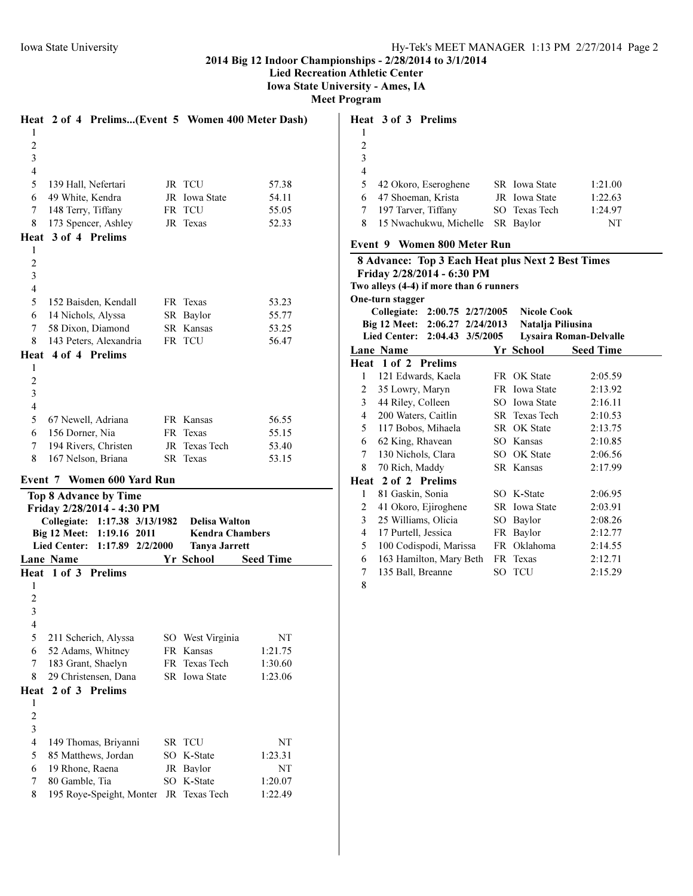Lied Recreation Athletic Center

Iowa State University - Ames, IA

| <b>Meet Program</b> |  |
|---------------------|--|
|---------------------|--|

|                         | Heat 2 of 4 Prelims(Event 5 Women 400 Meter Dash)                       |                                                |                    |
|-------------------------|-------------------------------------------------------------------------|------------------------------------------------|--------------------|
| 1                       |                                                                         |                                                |                    |
| $\overline{c}$          |                                                                         |                                                |                    |
| 3                       |                                                                         |                                                |                    |
| $\overline{4}$          |                                                                         |                                                |                    |
| 5                       | 139 Hall, Nefertari                                                     | JR TCU                                         | 57.38              |
| 6                       | 49 White, Kendra                                                        | JR Iowa State                                  | 54.11              |
| 7                       | 148 Terry, Tiffany                                                      | FR TCU                                         | 55.05              |
| 8                       | 173 Spencer, Ashley                                                     | JR Texas                                       | 52.33              |
|                         | Heat 3 of 4 Prelims                                                     |                                                |                    |
| 1                       |                                                                         |                                                |                    |
| $\overline{c}$          |                                                                         |                                                |                    |
| 3                       |                                                                         |                                                |                    |
| 4                       |                                                                         |                                                |                    |
| 5                       | 152 Baisden, Kendall                                                    | FR Texas                                       | 53.23              |
| 6                       | 14 Nichols, Alyssa<br>58 Dixon, Diamond                                 | SR Baylor                                      | 55.77              |
| 7<br>8                  | 143 Peters, Alexandria                                                  | SR Kansas<br>FR TCU                            | 53.25<br>56.47     |
| Heat                    | 4 of 4 Prelims                                                          |                                                |                    |
| 1                       |                                                                         |                                                |                    |
| $\overline{c}$          |                                                                         |                                                |                    |
| 3                       |                                                                         |                                                |                    |
| $\overline{4}$          |                                                                         |                                                |                    |
| 5                       | 67 Newell, Adriana                                                      | FR Kansas                                      | 56.55              |
| 6                       | 156 Dorner, Nia                                                         | FR Texas                                       | 55.15              |
| 7                       | 194 Rivers, Christen                                                    | JR Texas Tech                                  | 53.40              |
| 8                       | 167 Nelson, Briana                                                      | SR Texas                                       | 53.15              |
|                         |                                                                         |                                                |                    |
|                         |                                                                         |                                                |                    |
|                         | Event 7 Women 600 Yard Run                                              |                                                |                    |
|                         | <b>Top 8 Advance by Time</b>                                            |                                                |                    |
|                         | Friday 2/28/2014 - 4:30 PM                                              |                                                |                    |
|                         | Collegiate: 1:17.38 3/13/1982 Delisa Walton                             |                                                |                    |
|                         | Big 12 Meet:<br>1:19.16 2011<br><b>Lied Center:</b><br>1:17.89 2/2/2000 | <b>Kendra Chambers</b><br><b>Tanya Jarrett</b> |                    |
|                         | Lane Name                                                               | Yr School                                      | <b>Seed Time</b>   |
|                         | Heat 1 of 3 Prelims                                                     |                                                |                    |
| 1                       |                                                                         |                                                |                    |
| $\overline{2}$          |                                                                         |                                                |                    |
| 3                       |                                                                         |                                                |                    |
| 4                       |                                                                         |                                                |                    |
| 5                       | 211 Scherich, Alyssa                                                    | SO West Virginia                               | NΤ                 |
| 6                       | 52 Adams, Whitney                                                       | FR Kansas                                      | 1:21.75            |
| 7                       | 183 Grant, Shaelyn                                                      | FR Texas Tech                                  | 1:30.60            |
| 8                       | 29 Christensen, Dana                                                    | SR Iowa State                                  | 1:23.06            |
| Heat                    | 2 of 3 Prelims                                                          |                                                |                    |
| 1                       |                                                                         |                                                |                    |
| $\overline{\mathbf{c}}$ |                                                                         |                                                |                    |
| $\overline{\mathbf{3}}$ |                                                                         |                                                |                    |
| $\overline{4}$          | 149 Thomas, Briyanni                                                    | SR TCU                                         | NT                 |
| 5                       | 85 Matthews, Jordan                                                     | SO K-State                                     | 1:23.31            |
| 6                       | 19 Rhone, Raena                                                         | JR Baylor                                      | NT                 |
| 7<br>8                  | 80 Gamble, Tia<br>195 Roye-Speight, Monter                              | SO K-State<br>JR Texas Tech                    | 1:20.07<br>1:22.49 |

|   | Heat 3 of 3 Prelims    |               |         |
|---|------------------------|---------------|---------|
|   |                        |               |         |
| 2 |                        |               |         |
| 3 |                        |               |         |
| 4 |                        |               |         |
| 5 | 42 Okoro, Eseroghene   | SR Iowa State | 1:21.00 |
| 6 | 47 Shoeman, Krista     | JR Iowa State | 1:22.63 |
|   | 197 Tarver, Tiffany    | SO Texas Tech | 1:24.97 |
| 8 | 15 Nwachukwu, Michelle | SR Baylor     | NT      |
|   |                        |               |         |

# Event 9 Women 800 Meter Run

|                                                         | <b>8 Advance: Top 3 Each Heat plus Next 2 Best Times</b> |  |                    |                  |  |  |
|---------------------------------------------------------|----------------------------------------------------------|--|--------------------|------------------|--|--|
|                                                         | Friday 2/28/2014 - 6:30 PM                               |  |                    |                  |  |  |
|                                                         | Two alleys (4-4) if more than 6 runners                  |  |                    |                  |  |  |
|                                                         | One-turn stagger                                         |  |                    |                  |  |  |
|                                                         | Collegiate: 2:00.75 2/27/2005                            |  | <b>Nicole Cook</b> |                  |  |  |
|                                                         | Big 12 Meet: 2:06.27 2/24/2013                           |  | Natalja Piliusina  |                  |  |  |
| Lied Center: 2:04.43 3/5/2005<br>Lysaira Roman-Delvalle |                                                          |  |                    |                  |  |  |
|                                                         | Lane Name                                                |  | Yr School          | <b>Seed Time</b> |  |  |
|                                                         | Heat 1 of 2 Prelims                                      |  |                    |                  |  |  |
| 1                                                       | 121 Edwards, Kaela                                       |  | FR OK State        | 2:05.59          |  |  |
| $\overline{2}$                                          | 35 Lowry, Maryn                                          |  | FR Iowa State      | 2:13.92          |  |  |
| $\mathfrak{Z}$                                          | 44 Riley, Colleen                                        |  | SO Iowa State      | 2:16.11          |  |  |
| 4                                                       | 200 Waters, Caitlin                                      |  | SR Texas Tech      | 2:10.53          |  |  |
| 5                                                       | 117 Bobos, Mihaela                                       |  | SR OK State        | 2:13.75          |  |  |
| 6                                                       | 62 King, Rhavean                                         |  | SO Kansas          | 2:10.85          |  |  |
| 7                                                       | 130 Nichols, Clara                                       |  | SO OK State        | 2:06.56          |  |  |
| 8                                                       | 70 Rich, Maddy                                           |  | SR Kansas          | 2:17.99          |  |  |
|                                                         | Heat 2 of 2 Prelims                                      |  |                    |                  |  |  |
| 1                                                       | 81 Gaskin, Sonia                                         |  | SO K-State         | 2:06.95          |  |  |
| 2                                                       | 41 Okoro, Ejiroghene                                     |  | SR Iowa State      | 2:03.91          |  |  |
| 3                                                       | 25 Williams, Olicia                                      |  | SO Baylor          | 2:08.26          |  |  |
| 4                                                       | 17 Purtell, Jessica                                      |  | FR Baylor          | 2:12.77          |  |  |
| 5                                                       | 100 Codispodi, Marissa                                   |  | FR Oklahoma        | 2:14.55          |  |  |
| 6                                                       | 163 Hamilton, Mary Beth                                  |  | FR Texas           | 2:12.71          |  |  |
| 7                                                       | 135 Ball, Breanne                                        |  | SO TCU             | 2:15.29          |  |  |
| 8                                                       |                                                          |  |                    |                  |  |  |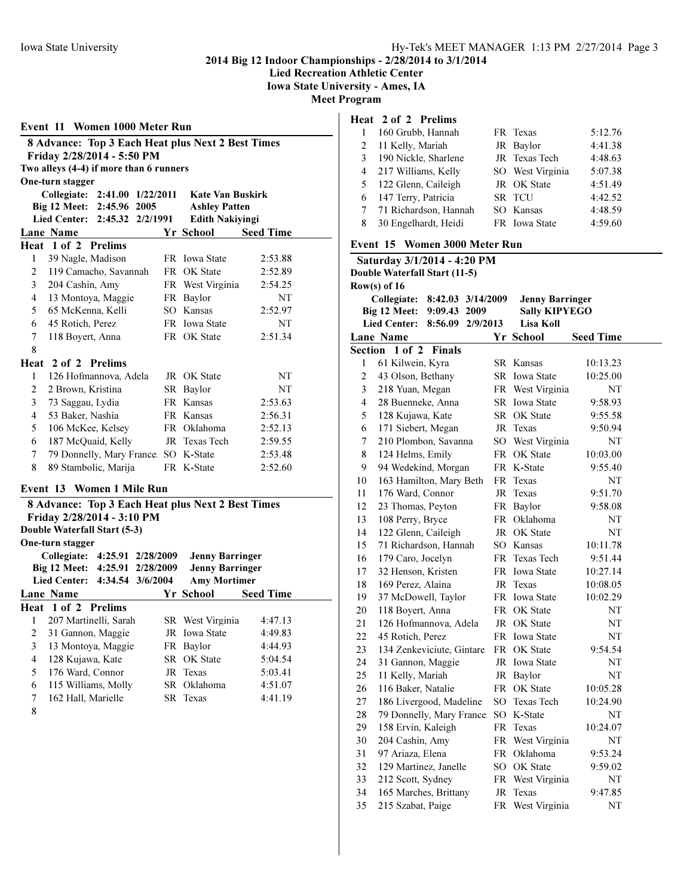Event 11 Women 1000 Meter Run

2014 Big 12 Indoor Championships - 2/28/2014 to 3/1/2014

Lied Recreation Athletic Center

Iowa State University - Ames, IA

Meet Program

| 8 Advance: Top 3 Each Heat plus Next 2 Best Times |                                                   |    |                         |                  |
|---------------------------------------------------|---------------------------------------------------|----|-------------------------|------------------|
| Friday 2/28/2014 - 5:50 PM                        |                                                   |    |                         |                  |
|                                                   | Two alleys (4-4) if more than 6 runners           |    |                         |                  |
|                                                   | One-turn stagger                                  |    |                         |                  |
|                                                   | Collegiate:<br>2:41.00 1/22/2011                  |    | <b>Kate Van Buskirk</b> |                  |
|                                                   | Big 12 Meet:<br>2:45.96 2005                      |    | <b>Ashley Patten</b>    |                  |
|                                                   | <b>Lied Center:</b><br>2:45.32<br>2/2/1991        |    | <b>Edith Nakiyingi</b>  |                  |
|                                                   | Lane Name                                         |    | Yr School               | <b>Seed Time</b> |
|                                                   | Heat 1 of 2 Prelims                               |    |                         |                  |
| $\mathbf{1}$                                      | 39 Nagle, Madison                                 |    | FR Iowa State           | 2:53.88          |
| $\overline{c}$                                    | 119 Camacho, Savannah                             |    | FR OK State             | 2:52.89          |
| 3                                                 | 204 Cashin, Amy                                   |    | FR West Virginia        | 2:54.25          |
| 4                                                 | 13 Montoya, Maggie                                |    | FR Baylor               | NT               |
| 5                                                 | 65 McKenna, Kelli                                 |    | SO Kansas               | 2:52.97          |
| 6                                                 | 45 Rotich, Perez                                  |    | FR Iowa State           | NT               |
| 7                                                 | 118 Boyert, Anna                                  |    | FR OK State             | 2:51.34          |
| 8                                                 |                                                   |    |                         |                  |
|                                                   | Heat 2 of 2 Prelims                               |    |                         |                  |
| $\mathbf{1}$                                      | 126 Hofmannova, Adela                             |    | JR OK State             | NΤ               |
| $\overline{c}$                                    | 2 Brown, Kristina                                 |    | SR Baylor               | NT               |
| 3                                                 | 73 Saggau, Lydia                                  |    | FR Kansas               | 2:53.63          |
| 4                                                 | 53 Baker, Nashia                                  |    | FR Kansas               | 2:56.31          |
| 5                                                 | 106 McKee, Kelsey                                 |    | FR Oklahoma             | 2:52.13          |
| 6                                                 | 187 McQuaid, Kelly                                | JR | Texas Tech              | 2:59.55          |
| 7                                                 | 79 Donnelly, Mary France: SO K-State              |    |                         | 2:53.48          |
| 8                                                 | 89 Stambolic, Marija                              |    | FR K-State              | 2:52.60          |
|                                                   |                                                   |    |                         |                  |
|                                                   | Event 13 Women 1 Mile Run                         |    |                         |                  |
|                                                   | 8 Advance: Top 3 Each Heat plus Next 2 Best Times |    |                         |                  |
|                                                   | Friday 2/28/2014 - 3:10 PM                        |    |                         |                  |
|                                                   | Double Waterfall Start (5-3)                      |    |                         |                  |
|                                                   | One-turn stagger                                  |    |                         |                  |
|                                                   | Collegiate:<br>4:25.91 2/28/2009                  |    | <b>Jenny Barringer</b>  |                  |
|                                                   | Big 12 Meet:<br>4:25.91 2/28/2009                 |    | <b>Jenny Barringer</b>  |                  |
|                                                   | <b>Lied Center:</b><br>4:34.54 3/6/2004           |    | <b>Amy Mortimer</b>     |                  |
|                                                   | Lane Name                                         |    | Yr School               | <b>Seed Time</b> |
|                                                   | Heat 1 of 2 Prelims                               |    |                         |                  |
| 1                                                 | 207 Martinelli, Sarah                             |    | SR West Virginia        | 4:47.13          |
| 2                                                 | 31 Gannon, Maggie                                 |    | JR Iowa State           | 4:49.83          |
| 3                                                 | 13 Montoya, Maggie                                |    | FR Baylor               | 4:44.93          |
| 4                                                 | 128 Kujawa, Kate                                  |    | SR OK State             | 5:04.54          |
| 5                                                 | 176 Ward, Connor                                  | JR | Texas                   | 5:03.41          |
| 6                                                 | 115 Williams, Molly                               | SR | Oklahoma                | 4:51.07          |

| 6 | 115 Williams, Molly | SR Oklahoma | 4:51.07 |
|---|---------------------|-------------|---------|
|   | 162 Hall, Marielle  | SR Texas    | 4:41.19 |

### Heat 2 of 2 Prelims

|   | 160 Grubb, Hannah       | FR Texas         | 5:12.76 |
|---|-------------------------|------------------|---------|
| 2 | 11 Kelly, Mariah        | JR Baylor        | 4:41.38 |
| 3 | 190 Nickle, Sharlene    | JR Texas Tech    | 4:48.63 |
|   | 4 217 Williams, Kelly   | SO West Virginia | 5:07.38 |
|   | 5 122 Glenn, Caileigh   | JR OK State      | 4:51.49 |
|   | 6 147 Terry, Patricia   | SR TCU           | 4:42.52 |
|   | 7 71 Richardson, Hannah | SO Kansas        | 4:48.59 |
| 8 | 30 Engelhardt, Heidi    | FR Iowa State    | 4:59.60 |

## Event 15 Women 3000 Meter Run

| Saturday 3/1/2014 - 4:20 PM   |                                            |    |                        |                  |  |
|-------------------------------|--------------------------------------------|----|------------------------|------------------|--|
| Double Waterfall Start (11-5) |                                            |    |                        |                  |  |
|                               | Row(s) of $16$                             |    |                        |                  |  |
|                               | 8:42.03 3/14/2009<br>Collegiate:           |    | <b>Jenny Barringer</b> |                  |  |
|                               | Big 12 Meet:<br>9:09.43 2009               |    | <b>Sally KIPYEGO</b>   |                  |  |
|                               | <b>Lied Center:</b><br>8:56.09<br>2/9/2013 |    | Lisa Koll              |                  |  |
|                               | <b>Lane Name</b>                           |    | Yr School              | <b>Seed Time</b> |  |
|                               | Section 1 of 2<br><b>Finals</b>            |    |                        |                  |  |
| 1                             | 61 Kilwein, Kyra                           |    | SR Kansas              | 10:13.23         |  |
| $\overline{2}$                | 43 Olson, Bethany                          |    | <b>SR</b> Iowa State   | 10:25.00         |  |
| 3                             | 218 Yuan, Megan                            |    | FR West Virginia       | NT               |  |
| $\overline{4}$                | 28 Buenneke, Anna                          |    | <b>SR</b> Iowa State   | 9:58.93          |  |
| 5                             | 128 Kujawa, Kate                           |    | SR OK State            | 9:55.58          |  |
| 6                             | 171 Siebert, Megan                         |    | JR Texas               | 9:50.94          |  |
| 7                             | 210 Plombon, Savanna                       |    | SO West Virginia       | NT               |  |
| 8                             | 124 Helms, Emily                           | FR | OK State               | 10:03.00         |  |
| 9                             | 94 Wedekind, Morgan                        |    | FR K-State             | 9:55.40          |  |
| 10                            | 163 Hamilton, Mary Beth                    |    | FR Texas               | NT               |  |
| 11                            | 176 Ward, Connor                           | JR | Texas                  | 9:51.70          |  |
| 12                            | 23 Thomas, Peyton                          |    | FR Baylor              | 9:58.08          |  |
| 13                            | 108 Perry, Bryce                           |    | FR Oklahoma            | NT               |  |
| 14                            | 122 Glenn, Caileigh                        |    | JR OK State            | NT               |  |
| 15                            | 71 Richardson, Hannah                      |    | SO Kansas              | 10:11.78         |  |
| 16                            | 179 Caro, Jocelyn                          |    | FR Texas Tech          | 9:51.44          |  |
| 17                            | 32 Henson, Kristen                         |    | FR Iowa State          | 10:27.14         |  |
| 18                            | 169 Perez, Alaina                          |    | JR Texas               | 10:08.05         |  |
| 19                            | 37 McDowell, Taylor                        |    | FR Iowa State          | 10:02.29         |  |
| 20                            | 118 Boyert, Anna                           |    | FR OK State            | NT               |  |
| 21                            | 126 Hofmannova, Adela                      |    | JR OK State            | NT               |  |
| 22                            | 45 Rotich, Perez                           |    | FR Iowa State          | NT               |  |
| 23                            | 134 Zenkeviciute, Gintare                  |    | FR OK State            | 9:54.54          |  |
| 24                            | 31 Gannon, Maggie                          |    | JR Iowa State          | NT               |  |
| 25                            | 11 Kelly, Mariah                           |    | JR Baylor              | NT               |  |
| 26                            | 116 Baker, Natalie                         |    | FR OK State            | 10:05.28         |  |
| 27                            | 186 Livergood, Madeline                    |    | SO Texas Tech          | 10:24.90         |  |
| 28                            | 79 Donnelly, Mary France: SO K-State       |    |                        | NT               |  |
| 29                            | 158 Ervin, Kaleigh                         | FR | Texas                  | 10:24.07         |  |
| 30                            | 204 Cashin, Amy                            |    | FR West Virginia       | NT               |  |
| 31                            | 97 Ariaza, Elena                           | FR | Oklahoma               | 9:53.24          |  |
| 32                            | 129 Martinez, Janelle                      |    | SO OK State            | 9:59.02          |  |
| 33                            | 212 Scott, Sydney                          | FR | West Virginia          | NT               |  |
| 34                            | 165 Marches, Brittany                      | JR | Texas                  | 9:47.85          |  |
| 35                            | 215 Szabat, Paige                          | FR | West Virginia          | NT               |  |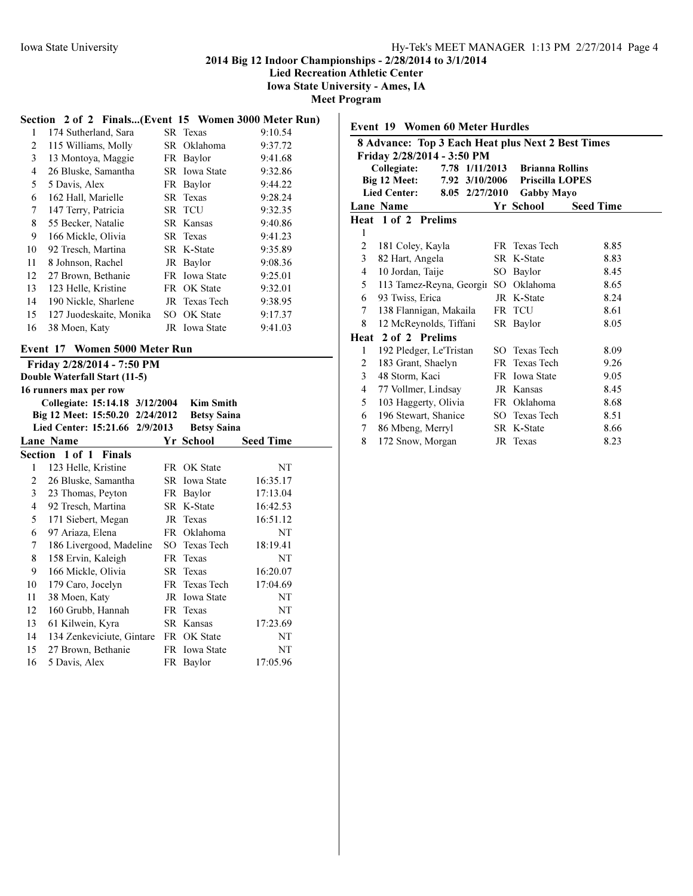Lied Recreation Athletic Center

Iowa State University - Ames, IA

Meet Program

# Section 2 of 2 Finals...(Event 15 Women 3000 Meter Run)

| 1  | 174 Sutherland, Sara    | SR Texas             | 9:10.54 |
|----|-------------------------|----------------------|---------|
| 2  | 115 Williams, Molly     | SR Oklahoma          | 9:37.72 |
| 3  | 13 Montoya, Maggie      | FR Baylor            | 9:41.68 |
| 4  | 26 Bluske, Samantha     | <b>SR</b> Iowa State | 9:32.86 |
| 5  | 5 Davis, Alex           | FR Baylor            | 9:44.22 |
| 6  | 162 Hall, Marielle      | SR Texas             | 9:28.24 |
| 7  | 147 Terry, Patricia     | SR TCU               | 9:32.35 |
| 8  | 55 Becker, Natalie      | SR Kansas            | 9:40.86 |
| 9  | 166 Mickle, Olivia      | SR Texas             | 9:41.23 |
| 10 | 92 Tresch, Martina      | SR K-State           | 9:35.89 |
| 11 | 8 Johnson, Rachel       | JR Baylor            | 9:08.36 |
| 12 | 27 Brown, Bethanie      | <b>FR</b> Iowa State | 9:25.01 |
| 13 | 123 Helle, Kristine     | FR OK State          | 9:32.01 |
| 14 | 190 Nickle, Sharlene    | JR Texas Tech        | 9:38.95 |
| 15 | 127 Juodeskaite, Monika | SO OK State          | 9:17.37 |
| 16 | 38 Moen, Katy           | JR Iowa State        | 9:41.03 |
|    |                         |                      |         |

# Event 17 Women 5000 Meter Run

|                | Friday 2/28/2014 - 7:50 PM                           |     |                    |                  |  |  |
|----------------|------------------------------------------------------|-----|--------------------|------------------|--|--|
|                | Double Waterfall Start (11-5)                        |     |                    |                  |  |  |
|                | 16 runners max per row                               |     |                    |                  |  |  |
|                | Collegiate: 15:14.18 3/12/2004                       |     | <b>Kim Smith</b>   |                  |  |  |
|                | Big 12 Meet: 15:50.20 2/24/2012                      |     | <b>Betsy Saina</b> |                  |  |  |
|                | Lied Center: 15:21.66 2/9/2013<br><b>Betsy Saina</b> |     |                    |                  |  |  |
|                | Lane Name                                            |     | Yr School          | <b>Seed Time</b> |  |  |
|                | Section 1 of 1 Finals                                |     |                    |                  |  |  |
| 1              | 123 Helle, Kristine                                  |     | FR OK State        | NT               |  |  |
| 2              | 26 Bluske, Samantha                                  |     | SR Iowa State      | 16:35.17         |  |  |
| 3              | 23 Thomas, Peyton                                    |     | FR Baylor          | 17:13.04         |  |  |
| $\overline{4}$ | 92 Tresch, Martina                                   |     | SR K-State         | 16:42.53         |  |  |
| 5              | 171 Siebert, Megan                                   |     | JR Texas           | 16:51.12         |  |  |
| 6              | 97 Ariaza, Elena                                     |     | FR Oklahoma        | NT               |  |  |
| 7              | 186 Livergood, Madeline                              |     | SO Texas Tech      | 18:19.41         |  |  |
| 8              | 158 Ervin, Kaleigh                                   |     | FR Texas           | NT               |  |  |
| 9              | 166 Mickle, Olivia                                   |     | <b>SR</b> Texas    | 16:20.07         |  |  |
| 10             | 179 Caro, Jocelyn                                    | FR. | Texas Tech         | 17:04.69         |  |  |
| 11             | 38 Moen, Katy                                        | JR  | <b>Iowa State</b>  | NT               |  |  |
| 12             | 160 Grubb, Hannah                                    |     | FR Texas           | NT               |  |  |
| 13             | 61 Kilwein, Kyra                                     |     | SR Kansas          | 17:23.69         |  |  |
| 14             | 134 Zenkeviciute, Gintare                            |     | FR OK State        | NT               |  |  |
| 15             | 27 Brown, Bethanie                                   |     | FR Iowa State      | NT               |  |  |
| 16             | 5 Davis, Alex                                        |     | FR Baylor          | 17:05.96         |  |  |

# Event 19 Women 60 Meter Hurdles 8 Advance: Top 3 Each Heat plus Next 2 Best Times Friday 2/28/2014 - 3:50 PM<br>Collegiate: 7.78 1/11/2 Collegiate: 7.78 1/11/2013 Brianna Rollins Big 12 Meet: 7.92 3/10/2006 Priscilla LOPES<br>Lied Center: 8.05 2/27/2010 Gabby Mayo  $8.05$  2/27/2010 Lane Name Yr School Seed Time Heat 1 of 2 Prelims 181 Coley, Kayla FR Texas Tech 8.85 82 Hart, Angela SR K-State 8.83 10 Jordan, Taije SO Baylor 8.45 5 113 Tamez-Reyna, Georgin SO Oklahoma 8.65 93 Twiss, Erica JR K-State 8.24 138 Flannigan, Makaila FR TCU 8.61 8 12 McReynolds, Tiffani SR Baylor 8.05 Heat 2 of 2 Prelims 192 Pledger, Le'Tristan SO Texas Tech 8.09 183 Grant, Shaelyn FR Texas Tech 9.26 48 Storm, Kaci FR Iowa State 9.05 77 Vollmer, Lindsay JR Kansas 8.45 103 Haggerty, Olivia FR Oklahoma 8.68 196 Stewart, Shanice SO Texas Tech 8.51 86 Mbeng, Merryl SR K-State 8.66

8 172 Snow, Morgan JR Texas 8.23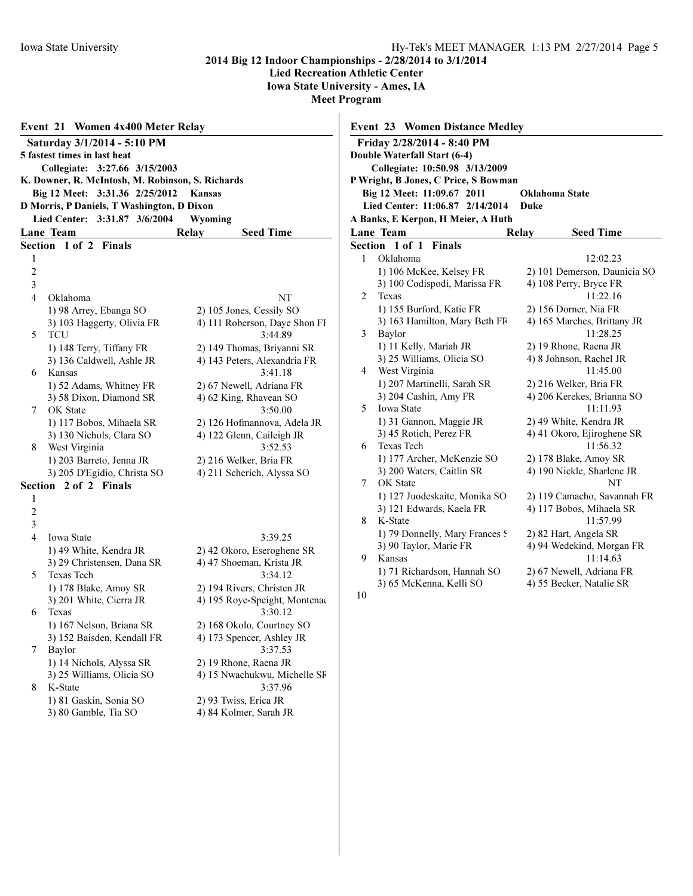Lied Recreation Athletic Center

Iowa State University - Ames, IA

Meet Program  $\mathbf{I}$ 

|                                                                                                                                                                                                                                   | Event 21<br><b>Women 4x400 Meter Relay</b> |                               |  |  |  |  |                |                          |                           |
|-----------------------------------------------------------------------------------------------------------------------------------------------------------------------------------------------------------------------------------|--------------------------------------------|-------------------------------|--|--|--|--|----------------|--------------------------|---------------------------|
|                                                                                                                                                                                                                                   | Saturday 3/1/2014 - 5:10 PM                |                               |  |  |  |  |                |                          |                           |
|                                                                                                                                                                                                                                   | 5 fastest times in last heat               |                               |  |  |  |  |                |                          |                           |
| Collegiate: 3:27.66 3/15/2003<br>K. Downer, R. McIntosh, M. Robinson, S. Richards<br>Big 12 Meet:<br>3:31.36 2/25/2012<br><b>Kansas</b><br>D Morris, P Daniels, T Washington, D Dixon<br>Lied Center: 3:31.87 3/6/2004<br>Wyoming |                                            |                               |  |  |  |  |                |                          |                           |
|                                                                                                                                                                                                                                   |                                            |                               |  |  |  |  |                | Lane Team                | Relay<br><b>Seed Time</b> |
|                                                                                                                                                                                                                                   |                                            |                               |  |  |  |  |                | Section 1 of 2<br>Finals |                           |
|                                                                                                                                                                                                                                   |                                            |                               |  |  |  |  | 1              |                          |                           |
|                                                                                                                                                                                                                                   |                                            |                               |  |  |  |  | $\overline{c}$ |                          |                           |
| 3                                                                                                                                                                                                                                 |                                            |                               |  |  |  |  |                |                          |                           |
| 4                                                                                                                                                                                                                                 | Oklahoma                                   | NΤ                            |  |  |  |  |                |                          |                           |
|                                                                                                                                                                                                                                   | 1) 98 Arrey, Ebanga SO                     | 2) 105 Jones, Cessily SO      |  |  |  |  |                |                          |                           |
|                                                                                                                                                                                                                                   | 3) 103 Haggerty, Olivia FR                 | 4) 111 Roberson, Daye Shon FI |  |  |  |  |                |                          |                           |
| 5                                                                                                                                                                                                                                 | <b>TCU</b>                                 | 3:44.89                       |  |  |  |  |                |                          |                           |
|                                                                                                                                                                                                                                   | 1) 148 Terry, Tiffany FR                   | 2) 149 Thomas, Briyanni SR    |  |  |  |  |                |                          |                           |
|                                                                                                                                                                                                                                   | 3) 136 Caldwell, Ashle JR                  | 4) 143 Peters, Alexandria FR  |  |  |  |  |                |                          |                           |
| 6                                                                                                                                                                                                                                 | Kansas                                     | 3:41.18                       |  |  |  |  |                |                          |                           |
|                                                                                                                                                                                                                                   | 1) 52 Adams, Whitney FR                    | 2) 67 Newell, Adriana FR      |  |  |  |  |                |                          |                           |
|                                                                                                                                                                                                                                   | 3) 58 Dixon, Diamond SR                    | 4) 62 King, Rhavean SO        |  |  |  |  |                |                          |                           |
| 7                                                                                                                                                                                                                                 | OK State                                   | 3:50.00                       |  |  |  |  |                |                          |                           |
|                                                                                                                                                                                                                                   | 1) 117 Bobos, Mihaela SR                   | 2) 126 Hofmannova, Adela JR   |  |  |  |  |                |                          |                           |
|                                                                                                                                                                                                                                   | 3) 130 Nichols, Clara SO                   | 4) 122 Glenn, Caileigh JR     |  |  |  |  |                |                          |                           |
| 8                                                                                                                                                                                                                                 | West Virginia                              | 3:52.53                       |  |  |  |  |                |                          |                           |
|                                                                                                                                                                                                                                   | 1) 203 Barreto, Jenna JR                   | 2) 216 Welker, Bria FR        |  |  |  |  |                |                          |                           |
|                                                                                                                                                                                                                                   | 3) 205 D'Egidio, Christa SO                | 4) 211 Scherich, Alyssa SO    |  |  |  |  |                |                          |                           |
|                                                                                                                                                                                                                                   | Section 2 of 2 Finals                      |                               |  |  |  |  |                |                          |                           |
| 1                                                                                                                                                                                                                                 |                                            |                               |  |  |  |  |                |                          |                           |
| $\overline{c}$                                                                                                                                                                                                                    |                                            |                               |  |  |  |  |                |                          |                           |
| 3                                                                                                                                                                                                                                 |                                            |                               |  |  |  |  |                |                          |                           |
| 4                                                                                                                                                                                                                                 | <b>Iowa State</b>                          | 3:39.25                       |  |  |  |  |                |                          |                           |
|                                                                                                                                                                                                                                   | 1) 49 White, Kendra JR                     | 2) 42 Okoro, Eseroghene SR    |  |  |  |  |                |                          |                           |
|                                                                                                                                                                                                                                   | 3) 29 Christensen, Dana SR                 | 4) 47 Shoeman, Krista JR      |  |  |  |  |                |                          |                           |
| 5                                                                                                                                                                                                                                 | <b>Texas Tech</b>                          | 3:34.12                       |  |  |  |  |                |                          |                           |
|                                                                                                                                                                                                                                   | 1) 178 Blake, Amoy SR                      | 2) 194 Rivers, Christen JR    |  |  |  |  |                |                          |                           |
|                                                                                                                                                                                                                                   | 3) 201 White, Cierra JR                    | 4) 195 Roye-Speight, Montenae |  |  |  |  |                |                          |                           |
| 6                                                                                                                                                                                                                                 | Texas                                      | 3:30.12                       |  |  |  |  |                |                          |                           |
|                                                                                                                                                                                                                                   | 1) 167 Nelson, Briana SR                   | 2) 168 Okolo, Courtney SO     |  |  |  |  |                |                          |                           |
|                                                                                                                                                                                                                                   | 3) 152 Baisden, Kendall FR                 | 4) 173 Spencer, Ashley JR     |  |  |  |  |                |                          |                           |
| 7                                                                                                                                                                                                                                 | <b>Baylor</b>                              | 3:37.53                       |  |  |  |  |                |                          |                           |
|                                                                                                                                                                                                                                   | 1) 14 Nichols, Alyssa SR                   | 2) 19 Rhone, Raena JR         |  |  |  |  |                |                          |                           |
|                                                                                                                                                                                                                                   | 3) 25 Williams, Olicia SO                  | 4) 15 Nwachukwu, Michelle SF  |  |  |  |  |                |                          |                           |
| 8                                                                                                                                                                                                                                 | K-State                                    | 3:37.96                       |  |  |  |  |                |                          |                           |
|                                                                                                                                                                                                                                   | 1) 81 Gaskin, Sonia SO                     | 2) 93 Twiss, Erica JR         |  |  |  |  |                |                          |                           |
|                                                                                                                                                                                                                                   | 3) 80 Gamble, Tia SO                       | 4) 84 Kolmer, Sarah JR        |  |  |  |  |                |                          |                           |
|                                                                                                                                                                                                                                   |                                            |                               |  |  |  |  |                |                          |                           |
|                                                                                                                                                                                                                                   |                                            |                               |  |  |  |  |                |                          |                           |

|                                | <b>Event 23 Women Distance Medley</b>     |                              |  |  |  |  |
|--------------------------------|-------------------------------------------|------------------------------|--|--|--|--|
|                                | Friday 2/28/2014 - 8:40 PM                |                              |  |  |  |  |
|                                | Double Waterfall Start (6-4)              |                              |  |  |  |  |
| Collegiate: 10:50.98 3/13/2009 |                                           |                              |  |  |  |  |
|                                | P Wright, B Jones, C Price, S Bowman      |                              |  |  |  |  |
|                                | Big 12 Meet: 11:09.67 2011                | Oklahoma State               |  |  |  |  |
|                                | <b>Lied Center: 11:06.87</b><br>2/14/2014 | Duke                         |  |  |  |  |
|                                | A Banks, E Kerpon, H Meier, A Huth        |                              |  |  |  |  |
|                                | <b>Lane Team</b>                          | Relay<br><b>Seed Time</b>    |  |  |  |  |
|                                | Section 1 of 1<br>Finals                  |                              |  |  |  |  |
| 1                              | Oklahoma                                  | 12:02.23                     |  |  |  |  |
|                                | 1) 106 McKee, Kelsey FR                   | 2) 101 Demerson, Daunicia SO |  |  |  |  |
|                                | 3) 100 Codispodi, Marissa FR              | 4) 108 Perry, Bryce FR       |  |  |  |  |
| 2                              | Texas                                     | 11:22.16                     |  |  |  |  |
|                                | 1) 155 Burford, Katie FR                  | 2) 156 Dorner, Nia FR        |  |  |  |  |
|                                | 3) 163 Hamilton, Mary Beth FF             | 4) 165 Marches, Brittany JR  |  |  |  |  |
| 3                              | Baylor                                    | 11:28.25                     |  |  |  |  |
|                                | 1) 11 Kelly, Mariah JR                    | 2) 19 Rhone, Raena JR        |  |  |  |  |
|                                | 3) 25 Williams, Olicia SO                 | 4) 8 Johnson, Rachel JR      |  |  |  |  |
| 4                              | West Virginia                             | 11:45.00                     |  |  |  |  |
|                                | 1) 207 Martinelli, Sarah SR               | 2) 216 Welker, Bria FR       |  |  |  |  |
|                                | 3) 204 Cashin, Amy FR                     | 4) 206 Kerekes, Brianna SO   |  |  |  |  |
| 5                              | <b>Iowa State</b>                         | 11:11.93                     |  |  |  |  |
|                                | 1) 31 Gannon, Maggie JR                   | 2) 49 White, Kendra JR       |  |  |  |  |
|                                | 3) 45 Rotich, Perez FR                    | 4) 41 Okoro, Ejiroghene SR   |  |  |  |  |
| 6                              | <b>Texas Tech</b>                         | 11:56.32                     |  |  |  |  |
|                                | 1) 177 Archer, McKenzie SO                | 2) 178 Blake, Amoy SR        |  |  |  |  |
|                                | 3) 200 Waters, Caitlin SR                 | 4) 190 Nickle, Sharlene JR   |  |  |  |  |
| 7                              | OK State                                  | NT                           |  |  |  |  |
|                                | 1) 127 Juodeskaite, Monika SO             | 2) 119 Camacho, Savannah FR  |  |  |  |  |
|                                | 3) 121 Edwards, Kaela FR                  | 4) 117 Bobos, Mihaela SR     |  |  |  |  |
| 8                              | K-State                                   | 11:57.99                     |  |  |  |  |
|                                | 1) 79 Donnelly, Mary Frances S            | 2) 82 Hart, Angela SR        |  |  |  |  |
|                                | 3) 90 Taylor, Marie FR                    | 4) 94 Wedekind, Morgan FR    |  |  |  |  |
| 9                              | Kansas                                    | 11:14.63                     |  |  |  |  |
|                                | 1) 71 Richardson, Hannah SO               | 2) 67 Newell, Adriana FR     |  |  |  |  |
|                                | 3) 65 McKenna, Kelli SO                   | 4) 55 Becker, Natalie SR     |  |  |  |  |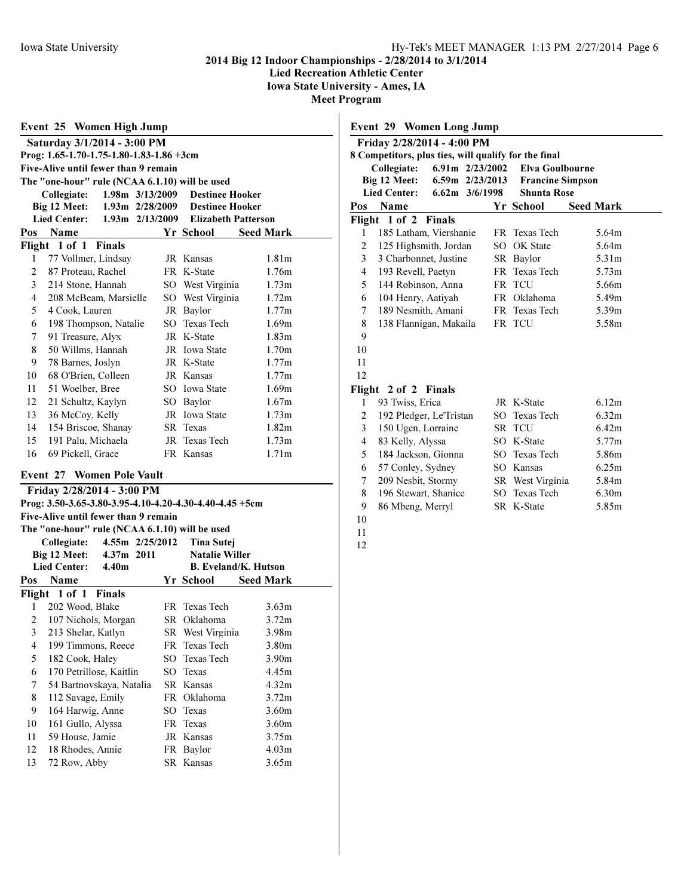Lied Recreation Athletic Center

Iowa State University - Ames, IA

**Meet Prog** 

|                                                          | Prog: 1.65-1.70-1.75-1.80-1.83-1.86 +3cm<br>Five-Alive until fewer than 9 remain |                     |                                 |                   |  |  |
|----------------------------------------------------------|----------------------------------------------------------------------------------|---------------------|---------------------------------|-------------------|--|--|
| The "one-hour" rule (NCAA 6.1.10) will be used           |                                                                                  |                     |                                 |                   |  |  |
| 1.98m 3/13/2009<br><b>Destinee Hooker</b><br>Collegiate: |                                                                                  |                     |                                 |                   |  |  |
|                                                          | Big 12 Meet:                                                                     |                     | 1.93m 2/28/2009 Destinee Hooker |                   |  |  |
|                                                          | <b>Lied Center:</b>                                                              | $1.93m$ $2/13/2009$ | <b>Elizabeth Patterson</b>      |                   |  |  |
| Pos                                                      | <b>Name</b>                                                                      |                     | Yr School                       | <b>Seed Mark</b>  |  |  |
|                                                          | Flight 1 of 1 Finals                                                             |                     |                                 |                   |  |  |
| 1                                                        | 77 Vollmer, Lindsay                                                              |                     | JR Kansas                       | 1.81m             |  |  |
| $\overline{c}$                                           | 87 Proteau, Rachel                                                               |                     | FR K-State                      | 1.76m             |  |  |
| 3                                                        | 214 Stone, Hannah                                                                |                     | SO West Virginia                | 1.73m             |  |  |
| $\overline{4}$                                           | 208 McBeam, Marsielle                                                            |                     | SO West Virginia                | 1.72m             |  |  |
| 5                                                        | 4 Cook, Lauren                                                                   |                     | JR Baylor                       | 1.77m             |  |  |
| 6                                                        | 198 Thompson, Natalie                                                            |                     | SO Texas Tech                   | 1.69m             |  |  |
| 7                                                        | 91 Treasure, Alyx                                                                |                     | JR K-State                      | 1.83 <sub>m</sub> |  |  |
| 8                                                        | 50 Willms, Hannah                                                                |                     | JR Iowa State                   | 1.70 <sub>m</sub> |  |  |
| 9                                                        | 78 Barnes, Joslyn                                                                |                     | JR K-State                      | 1.77m             |  |  |
| 10                                                       | 68 O'Brien, Colleen                                                              |                     | JR Kansas                       | 1.77m             |  |  |
| 11                                                       | 51 Woelber, Bree                                                                 |                     | SO Iowa State                   | 1.69m             |  |  |
| 12                                                       | 21 Schultz, Kaylyn                                                               |                     | SO Baylor                       | 1.67m             |  |  |
| 13                                                       | 36 McCoy, Kelly                                                                  |                     | JR Iowa State                   | 1.73m             |  |  |
| 14                                                       | 154 Briscoe, Shanay                                                              |                     | SR Texas                        | 1.82 <sub>m</sub> |  |  |
| 15                                                       | 191 Palu, Michaela                                                               |                     | JR Texas Tech                   | 1.73m             |  |  |
| 16                                                       | 69 Pickell, Grace                                                                |                     | FR Kansas                       | 1.71 <sub>m</sub> |  |  |
| <b>Event 27 Women Pole Vault</b>                         |                                                                                  |                     |                                 |                   |  |  |

The "one-hour" rule (NCAA 6.1.10) will be used Collegiate: 4.55m 2/25/2012 Tina Sutej Big 12 Meet: 4.37m 2011 Natalie Willer<br>Lied Center: 4.40m B. Eveland/K. 4.40m B. Eveland/K. Hutson Pos Name Yr School Seed Mark Flight 1 of 1 Finals 1 202 Wood, Blake FR Texas Tech 3.63m 2 107 Nichols, Morgan SR Oklahoma 3.72m 3 213 Shelar, Katlyn SR West Virginia 3.98m 4 199 Timmons, Reece FR Texas Tech 3.80m 5 182 Cook, Haley SO Texas Tech 3.90m 6 170 Petrillose, Kaitlin SO Texas 4.45m 7 54 Bartnovskaya, Natalia SR Kansas 4.32m 8 112 Savage, Emily FR Oklahoma 3.72m 9 164 Harwig, Anne SO Texas 3.60m 10 161 Gullo, Alyssa FR Texas 3.60m 11 59 House, Jamie JR Kansas 3.75m 12 18 Rhodes, Annie FR Baylor 4.03m

13 72 Row, Abby SR Kansas 3.65m

|                | <b>Event 29 Women Long Jump</b><br>Friday 2/28/2014 - 4:00 PM |                   |                         |                   |
|----------------|---------------------------------------------------------------|-------------------|-------------------------|-------------------|
|                | 8 Competitors, plus ties, will qualify for the final          |                   |                         |                   |
|                | Collegiate:                                                   | 6.91m $2/23/2002$ | <b>Elva Goulbourne</b>  |                   |
|                | Big 12 Meet:                                                  | 6.59m 2/23/2013   | <b>Francine Simpson</b> |                   |
|                | <b>Lied Center:</b>                                           | 6.62m 3/6/1998    | <b>Shunta Rose</b>      |                   |
| Pos            | Name                                                          |                   | Yr School               | <b>Seed Mark</b>  |
| Flight         | $1$ of $2$<br><b>Finals</b>                                   |                   |                         |                   |
| 1              | 185 Latham, Viershanie                                        |                   | FR Texas Tech           | 5.64m             |
| $\overline{2}$ | 125 Highsmith, Jordan                                         |                   | SO OK State             | 5.64m             |
| 3              | 3 Charbonnet, Justine                                         |                   | SR Baylor               | 5.31 <sub>m</sub> |
| $\overline{4}$ | 193 Revell, Paetyn                                            |                   | FR Texas Tech           | 5.73m             |
| 5              | 144 Robinson, Anna                                            |                   | FR TCU                  | 5.66m             |
| 6              | 104 Henry, Aatiyah                                            |                   | FR Oklahoma             | 5.49m             |
| 7              | 189 Nesmith, Amani                                            |                   | FR Texas Tech           | 5.39m             |
| 8              | 138 Flannigan, Makaila                                        |                   | FR TCU                  | 5.58m             |
| 9              |                                                               |                   |                         |                   |
| 10             |                                                               |                   |                         |                   |
| 11             |                                                               |                   |                         |                   |
| 12             |                                                               |                   |                         |                   |
|                | Flight 2 of 2 Finals                                          |                   |                         |                   |
| 1              | 93 Twiss, Erica                                               |                   | JR K-State              | 6.12m             |
| $\overline{2}$ | 192 Pledger, Le'Tristan                                       |                   | SO Texas Tech           | 6.32m             |
| 3              | 150 Ugen, Lorraine                                            |                   | SR TCU                  | 6.42m             |
| $\overline{4}$ | 83 Kelly, Alyssa                                              |                   | SO K-State              | 5.77m             |
| 5              | 184 Jackson, Gionna                                           |                   | SO Texas Tech           | 5.86m             |
| 6              | 57 Conley, Sydney                                             |                   | SO Kansas               | 6.25m             |
| 7              | 209 Nesbit, Stormy                                            |                   | SR West Virginia        | 5.84m             |
| 8              | 196 Stewart, Shanice                                          |                   | SO Texas Tech           | 6.30m             |
| 9              | 86 Mbeng, Merryl                                              |                   | SR K-State              | 5.85m             |
| 10             |                                                               |                   |                         |                   |
| 11             |                                                               |                   |                         |                   |
| 12             |                                                               |                   |                         |                   |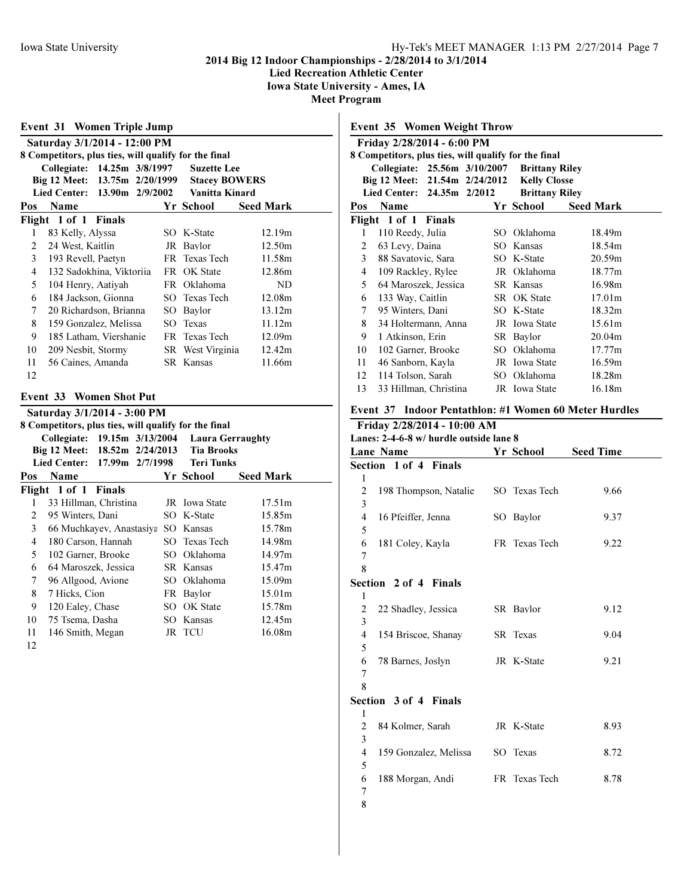Lied Recreation Athletic Center

Iowa State University - Ames, IA

Meet Program

3

5

7 8

| Event 31 Women Triple Jump     |                                                      |                  |  |                      |                                              |                    |  |
|--------------------------------|------------------------------------------------------|------------------|--|----------------------|----------------------------------------------|--------------------|--|
| Saturday 3/1/2014 - 12:00 PM   |                                                      |                  |  |                      |                                              |                    |  |
|                                | 8 Competitors, plus ties, will qualify for the final |                  |  |                      |                                              |                    |  |
|                                | Collegiate: 14.25m 3/8/1997                          |                  |  |                      | <b>Suzette Lee</b>                           |                    |  |
| Big 12 Meet: 13.75m 2/20/1999  |                                                      |                  |  | <b>Stacey BOWERS</b> |                                              |                    |  |
|                                | <b>Lied Center:</b>                                  | 13.90m 2/9/2002  |  |                      | Vanitta Kinard                               |                    |  |
| Pos                            | <b>Name</b>                                          |                  |  |                      | Yr School                                    | <b>Seed Mark</b>   |  |
|                                | Flight 1 of 1 Finals                                 |                  |  |                      |                                              |                    |  |
| 1                              | 83 Kelly, Alyssa                                     |                  |  |                      | SO K-State                                   | 12.19m             |  |
| $\overline{2}$                 | 24 West, Kaitlin                                     |                  |  |                      | JR Baylor                                    | 12.50m             |  |
| 3                              | 193 Revell, Paetyn                                   |                  |  |                      | FR Texas Tech                                | 11.58m             |  |
| 4                              | 132 Sadokhina, Viktoriia                             |                  |  |                      | FR OK State                                  | 12.86m             |  |
| 5                              | 104 Henry, Aatiyah                                   |                  |  |                      | FR Oklahoma                                  | ND                 |  |
| 6                              | 184 Jackson, Gionna                                  |                  |  |                      | SO Texas Tech                                | 12.08m             |  |
| 7                              | 20 Richardson, Brianna                               |                  |  |                      | SO Baylor                                    | 13.12m             |  |
| 8                              | 159 Gonzalez, Melissa                                |                  |  |                      | SO Texas                                     | 11.12m             |  |
| 9                              | 185 Latham, Viershanie                               |                  |  |                      | FR Texas Tech                                | 12.09m             |  |
| 10                             | 209 Nesbit, Stormy                                   |                  |  |                      | SR West Virginia                             | 12.42m             |  |
| 11                             | 56 Caines, Amanda                                    |                  |  |                      | <b>SR</b> Kansas                             | 11.66m             |  |
| 12                             |                                                      |                  |  |                      |                                              |                    |  |
| <b>Event 33 Women Shot Put</b> |                                                      |                  |  |                      |                                              |                    |  |
|                                |                                                      |                  |  |                      |                                              |                    |  |
|                                | Saturday 3/1/2014 - 3:00 PM                          |                  |  |                      |                                              |                    |  |
|                                | 8 Competitors, plus ties, will qualify for the final |                  |  |                      |                                              |                    |  |
|                                | Collegiate: 19.15m 3/13/2004<br>Big 12 Meet:         | 18.52m 2/24/2013 |  |                      | <b>Laura Gerraughty</b><br><b>Tia Brooks</b> |                    |  |
|                                | <b>Lied Center:</b>                                  | 17.99m 2/7/1998  |  |                      | <b>Teri Tunks</b>                            |                    |  |
| Pos                            | Name                                                 |                  |  |                      | Yr School                                    | <b>Seed Mark</b>   |  |
|                                | Flight 1 of 1                                        | <b>Finals</b>    |  |                      |                                              |                    |  |
| 1                              | 33 Hillman, Christina                                |                  |  |                      | JR Iowa State                                | 17.51m             |  |
| $\overline{c}$                 | 95 Winters, Dani                                     |                  |  |                      | SO K-State                                   | 15.85m             |  |
| 3                              | 66 Muchkayev, Anastasiya SO Kansas                   |                  |  |                      |                                              | 15.78m             |  |
| $\overline{4}$                 | 180 Carson, Hannah                                   |                  |  |                      | SO Texas Tech                                | 14.98m             |  |
| 5                              | 102 Garner, Brooke                                   |                  |  |                      | SO Oklahoma                                  | 14.97m             |  |
| 6                              | 64 Maroszek, Jessica                                 |                  |  |                      | SR Kansas                                    | 15.47m             |  |
| 7                              | 96 Allgood, Avione                                   |                  |  |                      | SO Oklahoma                                  | 15.09m             |  |
| 8                              | 7 Hicks, Cion                                        |                  |  |                      | FR Baylor                                    | 15.01 <sub>m</sub> |  |
| 9                              | 120 Ealey, Chase                                     |                  |  |                      | SO OK State                                  | 15.78m             |  |
| 10                             | 75 Tsema, Dasha                                      |                  |  |                      | SO Kansas                                    | 12.45m             |  |
| 11                             | 146 Smith, Megan                                     |                  |  |                      | JR TCU                                       | 16.08m             |  |

# Event 35 Women Weight Throw Friday 2/28/2014 - 6:00 PM 8 Competitors, plus ties, will qualify for the final Collegiate: 25.56m 3/10/2007 Brittany Riley Big 12 Meet: 21.54m 2/24/2012 Kelly Closse<br>Lied Center: 24.35m 2/2012 Brittany Riley Lied Center: 24.35m 2/2012 Pos Name Yr School Seed Mark Flight 1 of 1 Finals 1 110 Reedy, Julia SO Oklahoma 18.49m 2 63 Levy, Daina SO Kansas 18.54m 3 88 Savatovic, Sara SO K-State 20.59m 4 109 Rackley, Rylee JR Oklahoma 18.77m 5 64 Maroszek, Jessica SR Kansas 16.98m 6 133 Way, Caitlin SR OK State 17.01m 7 95 Winters, Dani SO K-State 18.32m 8 34 Holtermann, Anna JR Iowa State 15.61m 9 1 Atkinson, Erin SR Baylor 20.04m 10 102 Garner, Brooke SO Oklahoma 17.77m 11 46 Sanborn, Kayla JR Iowa State 16.59m 12 114 Tolson, Sarah SO Oklahoma 18.28m 13 33 Hillman, Christina JR Iowa State 16.18m Event 37 Indoor Pentathlon: #1 Women 60 Meter Hurdles Friday 2/28/2014 - 10:00 AM Lanes: 2-4-6-8 w/ hurdle outside lane 8 Lane Name Yr School Seed Time Section 1 of 4 Finals 1 2 198 Thompson, Natalie SO Texas Tech 9.66 3 4 16 Pfeiffer, Jenna SO Baylor 9.37 5 6 181 Coley, Kayla FR Texas Tech 9.22 7 8 Section 2 of 4 Finals 1 2 22 Shadley, Jessica SR Baylor 9.12 3 4 154 Briscoe, Shanay SR Texas 9.04 5 6 78 Barnes, Joslyn JR K-State 9.21 7 8 Section 3 of 4 Finals 1 2 84 Kolmer, Sarah JR K-State 8.93

4 159 Gonzalez, Melissa SO Texas 8.72

6 188 Morgan, Andi FR Texas Tech 8.78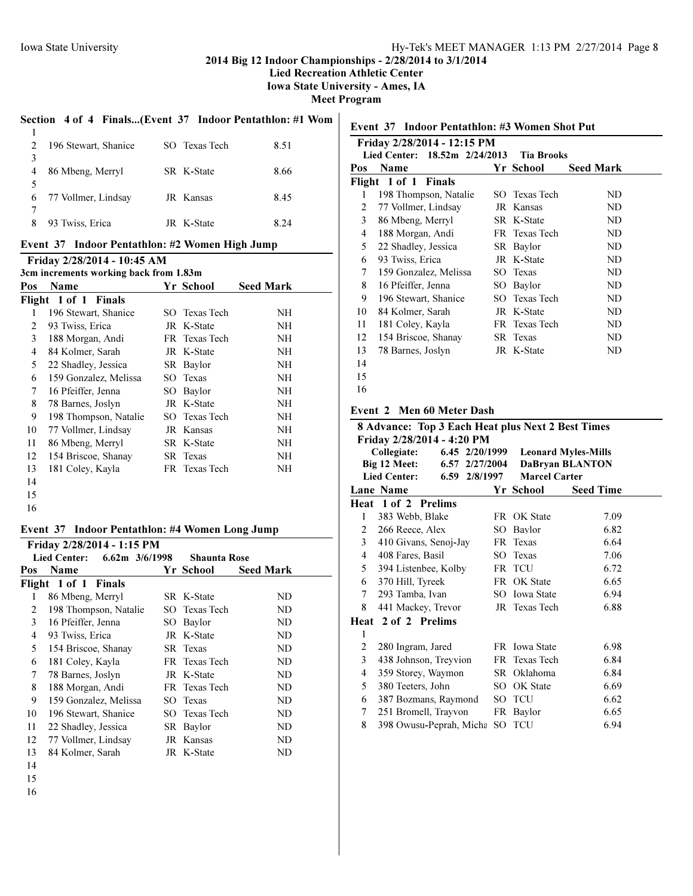Lied Recreation Athletic Center

Iowa State University - Ames, IA

Meet Program

# Section 4 of 4 Finals...(Event 37 Indoor Pentathlon: #1 Wom

|   | 196 Stewart, Shanice | SO Texas Tech | 8.51 |
|---|----------------------|---------------|------|
| 3 |                      |               |      |
| 4 | 86 Mbeng, Merryl     | SR K-State    | 8.66 |
| 5 |                      |               |      |
| 6 | 77 Vollmer, Lindsay  | JR Kansas     | 8.45 |
|   |                      |               |      |
| 8 | 93 Twiss, Erica      | JR K-State    | 8.24 |
|   |                      |               |      |

# Event 37 Indoor Pentathlon: #2 Women High Jump

Friday 2/28/2014 - 10:45 AM

|     | 3cm increments working back from 1.83m |  |               |                  |  |  |  |
|-----|----------------------------------------|--|---------------|------------------|--|--|--|
| Pos | Name                                   |  | Yr School     | <b>Seed Mark</b> |  |  |  |
|     | Flight 1 of 1 Finals                   |  |               |                  |  |  |  |
| 1   | 196 Stewart, Shanice                   |  | SO Texas Tech | NH               |  |  |  |
| 2   | 93 Twiss, Erica                        |  | JR K-State    | NH               |  |  |  |
| 3   | 188 Morgan, Andi                       |  | FR Texas Tech | NH               |  |  |  |
| 4   | 84 Kolmer, Sarah                       |  | JR K-State    | NH               |  |  |  |
| 5   | 22 Shadley, Jessica                    |  | SR Baylor     | NH               |  |  |  |
| 6   | 159 Gonzalez, Melissa                  |  | SO Texas      | NH               |  |  |  |
| 7   | 16 Pfeiffer, Jenna                     |  | SO Baylor     | NH               |  |  |  |
| 8   | 78 Barnes, Joslyn                      |  | JR K-State    | NH               |  |  |  |
| 9   | 198 Thompson, Natalie                  |  | SO Texas Tech | NH               |  |  |  |
| 10  | 77 Vollmer, Lindsay                    |  | JR Kansas     | NH               |  |  |  |
| 11  | 86 Mbeng, Merryl                       |  | SR K-State    | NH               |  |  |  |
| 12  | 154 Briscoe, Shanay                    |  | SR Texas      | NH               |  |  |  |
| 13  | 181 Coley, Kayla                       |  | FR Texas Tech | NH               |  |  |  |
| 14  |                                        |  |               |                  |  |  |  |
| 15  |                                        |  |               |                  |  |  |  |
| 16  |                                        |  |               |                  |  |  |  |

### Event 37 Indoor Pentathlon: #4 Women Long Jump

|                                                    | Friday 2/28/2014 - 1:15 PM |      |               |                  |  |
|----------------------------------------------------|----------------------------|------|---------------|------------------|--|
| Lied Center: 6.62m 3/6/1998<br><b>Shaunta Rose</b> |                            |      |               |                  |  |
| Pos                                                | Name                       |      | Yr School     | <b>Seed Mark</b> |  |
|                                                    | Flight 1 of 1 Finals       |      |               |                  |  |
| 1                                                  | 86 Mbeng, Merryl           |      | SR K-State    | ND               |  |
| 2                                                  | 198 Thompson, Natalie      |      | SO Texas Tech | ND               |  |
| 3                                                  | 16 Pfeiffer, Jenna         | SO - | Baylor        | ND               |  |
| 4                                                  | 93 Twiss, Erica            |      | JR K-State    | ND               |  |
| 5                                                  | 154 Briscoe, Shanay        |      | SR Texas      | ND               |  |
| 6                                                  | 181 Coley, Kayla           |      | FR Texas Tech | ND               |  |
| 7                                                  | 78 Barnes, Joslyn          |      | JR K-State    | ND               |  |
| 8                                                  | 188 Morgan, Andi           |      | FR Texas Tech | ND               |  |
| 9                                                  | 159 Gonzalez, Melissa      |      | SO Texas      | ND.              |  |
| 10                                                 | 196 Stewart, Shanice       |      | SO Texas Tech | ND               |  |
| 11                                                 | 22 Shadley, Jessica        |      | SR Baylor     | ND               |  |
| 12                                                 | 77 Vollmer, Lindsay        |      | JR Kansas     | ND               |  |
| 13                                                 | 84 Kolmer, Sarah           |      | JR K-State    | ND               |  |
| 14                                                 |                            |      |               |                  |  |

### Event 37 Indoor Pentathlon: #3 Women Shot Put

|                | Friday 2/28/2014 - 12:15 PM             |      |                   |                  |
|----------------|-----------------------------------------|------|-------------------|------------------|
|                | 18.52m 2/24/2013<br><b>Lied Center:</b> |      | <b>Tia Brooks</b> |                  |
| Pos            | Name                                    |      | Yr School         | <b>Seed Mark</b> |
|                | Flight 1 of 1 Finals                    |      |                   |                  |
| 1              | 198 Thompson, Natalie                   | SO - | Texas Tech        | ND               |
| 2              | 77 Vollmer, Lindsay                     |      | JR Kansas         | ND               |
| 3              | 86 Mbeng, Merryl                        |      | SR K-State        | ND               |
| $\overline{4}$ | 188 Morgan, Andi                        |      | FR Texas Tech     | ND               |
| 5              | 22 Shadley, Jessica                     |      | SR Baylor         | ND               |
| 6              | 93 Twiss, Erica                         |      | JR K-State        | ND               |
| 7              | 159 Gonzalez, Melissa                   | SO.  | Texas             | ND               |
| 8              | 16 Pfeiffer, Jenna                      | SO.  | Baylor            | ND               |
| 9              | 196 Stewart, Shanice                    |      | SO Texas Tech     | ND               |
| 10             | 84 Kolmer, Sarah                        |      | JR K-State        | ND               |
| 11             | 181 Coley, Kayla                        |      | FR Texas Tech     | ND               |
| 12             | 154 Briscoe, Shanay                     |      | SR Texas          | ND               |
| 13             | 78 Barnes, Joslyn                       |      | JR K-State        | ND               |
| 14             |                                         |      |                   |                  |
| 15             |                                         |      |                   |                  |
| 16             |                                         |      |                   |                  |
|                |                                         |      |                   |                  |

# Event 2 Men 60 Meter Dash

| <b>8 Advance: Top 3 Each Heat plus Next 2 Best Times</b> |                                      |     |                            |                  |  |  |
|----------------------------------------------------------|--------------------------------------|-----|----------------------------|------------------|--|--|
| Friday 2/28/2014 - 4:20 PM                               |                                      |     |                            |                  |  |  |
|                                                          | Collegiate:<br>6.45 2/20/1999        |     | <b>Leonard Myles-Mills</b> |                  |  |  |
|                                                          | Big 12 Meet:<br>6.57 2/27/2004       |     | <b>DaBryan BLANTON</b>     |                  |  |  |
|                                                          | <b>Lied Center:</b><br>6.59 2/8/1997 |     | <b>Marcel Carter</b>       |                  |  |  |
|                                                          | Lane Name                            |     | Yr School                  | <b>Seed Time</b> |  |  |
|                                                          | Heat 1 of 2 Prelims                  |     |                            |                  |  |  |
| 1                                                        | 383 Webb, Blake                      |     | FR OK State                | 7.09             |  |  |
| $\mathbf{2}$                                             | 266 Reece, Alex                      | SO. | Baylor                     | 6.82             |  |  |
| $\mathbf{3}$                                             | 410 Givans, Senoj-Jay                |     | FR Texas                   | 6.64             |  |  |
| 4                                                        | 408 Fares, Basil                     | SO  | Texas                      | 7.06             |  |  |
| 5                                                        | 394 Listenbee, Kolby                 |     | FR TCU                     | 6.72             |  |  |
| 6                                                        | 370 Hill, Tyreek                     |     | FR OK State                | 6.65             |  |  |
| $7^{\circ}$                                              | 293 Tamba, Ivan                      |     | SO Iowa State              | 6.94             |  |  |
| 8                                                        | 441 Mackey, Trevor                   |     | JR Texas Tech              | 6.88             |  |  |
|                                                          | Heat 2 of 2 Prelims                  |     |                            |                  |  |  |
| 1                                                        |                                      |     |                            |                  |  |  |
| 2                                                        | 280 Ingram, Jared                    |     | FR Iowa State              | 6.98             |  |  |
| 3                                                        | 438 Johnson, Treyvion                |     | FR Texas Tech              | 6.84             |  |  |
| $\overline{4}$                                           | 359 Storey, Waymon                   |     | SR Oklahoma                | 6.84             |  |  |
| 5                                                        | 380 Teeters, John                    |     | SO OK State                | 6.69             |  |  |
| 6                                                        | 387 Bozmans, Raymond                 |     | SO TCU                     | 6.62             |  |  |
| 7                                                        | 251 Bromell, Trayvon                 |     | FR Baylor                  | 6.65             |  |  |
| 8                                                        | 398 Owusu-Peprah, Micha SO TCU       |     |                            | 6.94             |  |  |
|                                                          |                                      |     |                            |                  |  |  |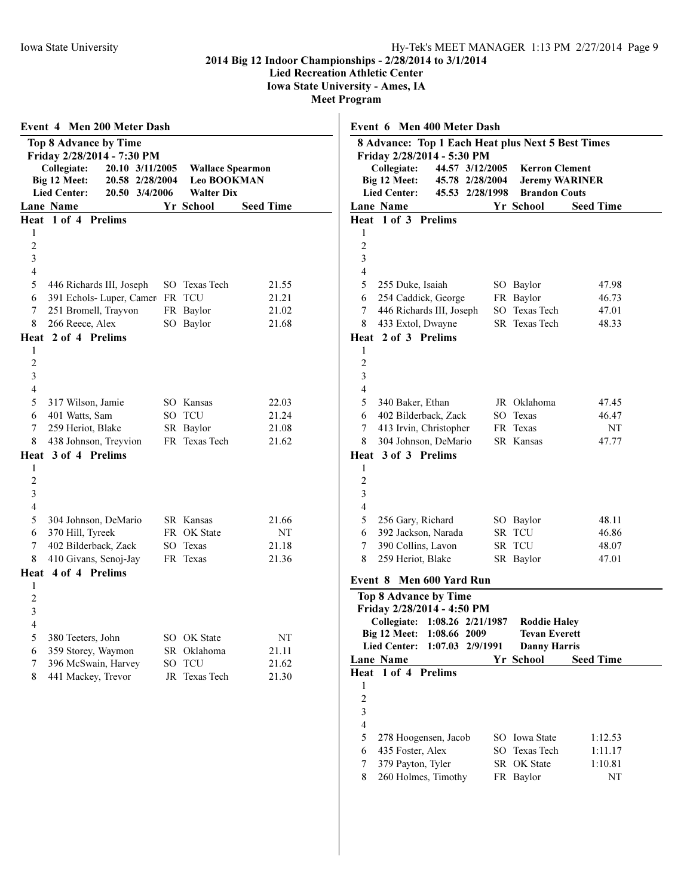379 Payton, Tyler SR OK State 1:10.81 8 260 Holmes, Timothy FR Baylor NT

# 2014 Big 12 Indoor Championships - 2/28/2014 to 3/1/2014

Lied Recreation Athletic Center

Iowa State University - Ames, IA

| Event 4 Men 200 Meter Dash                        |                         |                  | Event 6 Men 400 Meter Dash                                       |
|---------------------------------------------------|-------------------------|------------------|------------------------------------------------------------------|
| <b>Top 8 Advance by Time</b>                      |                         |                  | 8 Advance: Top 1 Each Heat plus Next 5 Best Times                |
| Friday 2/28/2014 - 7:30 PM                        |                         |                  | Friday 2/28/2014 - 5:30 PM                                       |
| Collegiate:<br>20.10 3/11/2005                    | <b>Wallace Spearmon</b> |                  | <b>Kerron Clement</b><br>Collegiate:<br>44.57 3/12/2005          |
| Big 12 Meet:<br>20.58 2/28/2004                   | Leo BOOKMAN             |                  | Big 12 Meet:<br>45.78 2/28/2004<br><b>Jeremy WARINER</b>         |
| <b>Lied Center:</b><br>20.50 3/4/2006             | <b>Walter Dix</b>       |                  | <b>Lied Center:</b><br>45.53 2/28/1998<br><b>Brandon Couts</b>   |
| Lane Name                                         | Yr School               | <b>Seed Time</b> | Lane Name<br>Yr School<br><b>Seed Time</b>                       |
| Heat 1 of 4 Prelims<br>1                          |                         |                  | Heat 1 of 3 Prelims<br>1                                         |
| $\overline{2}$                                    |                         |                  | $\overline{c}$                                                   |
| $\mathfrak{Z}$                                    |                         |                  | 3                                                                |
| $\overline{4}$                                    |                         |                  | 4                                                                |
| 5<br>446 Richards III, Joseph                     | SO Texas Tech           | 21.55            | 5<br>255 Duke, Isaiah<br>SO Baylor<br>47.98                      |
| 391 Echols- Luper, Camer FR TCU<br>6              |                         | 21.21            | FR Baylor<br>254 Caddick, George<br>46.73<br>6                   |
| 7<br>251 Bromell, Trayvon                         | FR Baylor               | 21.02            | 446 Richards III, Joseph<br>SO Texas Tech<br>7<br>47.01          |
| 8<br>266 Reece, Alex                              | SO Baylor               | 21.68            | 8<br>433 Extol, Dwayne<br>SR Texas Tech<br>48.33                 |
| Heat 2 of 4 Prelims                               |                         |                  | Heat 2 of 3 Prelims                                              |
| -1                                                |                         |                  | 1                                                                |
| $\sqrt{2}$                                        |                         |                  | $\overline{c}$                                                   |
| $\mathfrak{Z}$                                    |                         |                  | $\mathfrak{Z}$                                                   |
| $\overline{4}$                                    |                         |                  | 4                                                                |
| 5<br>317 Wilson, Jamie                            | SO Kansas               | 22.03            | JR Oklahoma<br>5<br>340 Baker, Ethan<br>47.45                    |
| 401 Watts, Sam<br>6                               | SO TCU                  | 21.24            | SO Texas<br>402 Bilderback, Zack<br>46.47<br>6                   |
| 7<br>259 Heriot, Blake                            | SR Baylor               | 21.08            | FR Texas<br>7<br>413 Irvin, Christopher<br>NT                    |
| 438 Johnson, Treyvion<br>8                        | FR Texas Tech           | 21.62            | 304 Johnson, DeMario<br>SR Kansas<br>47.77<br>8                  |
| Heat 3 of 4 Prelims                               |                         |                  | Heat 3 of 3 Prelims                                              |
| 1                                                 |                         |                  | 1                                                                |
| $\boldsymbol{2}$                                  |                         |                  | $\boldsymbol{2}$                                                 |
| $\mathfrak{Z}$                                    |                         |                  | $\mathfrak{Z}$                                                   |
| $\overline{4}$                                    |                         |                  | $\overline{4}$                                                   |
| 5<br>304 Johnson, DeMario                         | SR Kansas               | 21.66            | 48.11<br>5<br>256 Gary, Richard<br>SO Baylor                     |
| 370 Hill, Tyreek<br>6                             | FR OK State             | NT               | 392 Jackson, Narada<br>SR TCU<br>46.86<br>6                      |
| 7<br>402 Bilderback, Zack                         | SO Texas<br>FR Texas    | 21.18<br>21.36   | 390 Collins, Lavon<br>SR TCU<br>48.07<br>7<br>SR Baylor<br>47.01 |
| 410 Givans, Senoj-Jay<br>8<br>Heat 4 of 4 Prelims |                         |                  | 8<br>259 Heriot, Blake                                           |
| 1                                                 |                         |                  | Event 8 Men 600 Yard Run                                         |
| $\overline{2}$                                    |                         |                  | Top 8 Advance by Time                                            |
| 3                                                 |                         |                  | Friday 2/28/2014 - 4:50 PM                                       |
| 4                                                 |                         |                  | Collegiate: 1:08.26 2/21/1987<br><b>Roddie Haley</b>             |
| 5<br>380 Teeters, John                            | SO OK State             | NT               | Big 12 Meet: 1:08.66 2009<br><b>Tevan Everett</b>                |
| 359 Storey, Waymon<br>6                           | SR Oklahoma             | 21.11            | Lied Center: 1:07.03 2/9/1991<br><b>Danny Harris</b>             |
| 396 McSwain, Harvey<br>7                          | SO TCU                  | 21.62            | Yr School<br><b>Seed Time</b><br>Lane Name                       |
| 8<br>441 Mackey, Trevor                           | JR Texas Tech           | 21.30            | Heat 1 of 4 Prelims                                              |
|                                                   |                         |                  | 1                                                                |
|                                                   |                         |                  | $\overline{\mathbf{c}}$                                          |
|                                                   |                         |                  | 3                                                                |
|                                                   |                         |                  | $\overline{\mathbf{4}}$                                          |
|                                                   |                         |                  | 5<br>SO Iowa State<br>1:12.53<br>278 Hoogensen, Jacob            |
|                                                   |                         |                  | 435 Foster, Alex<br>SO Texas Tech<br>1:11.17<br>6                |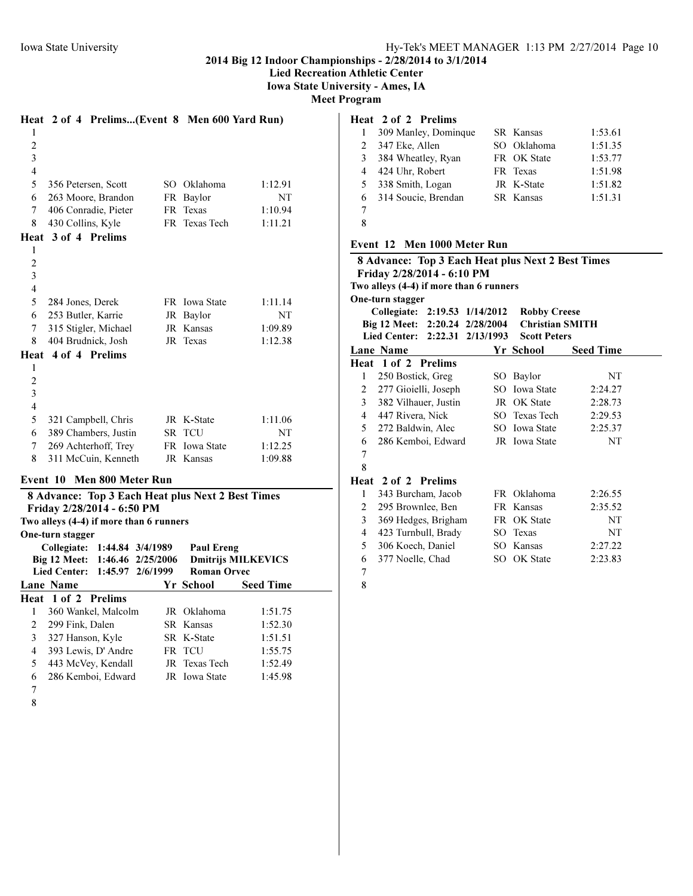Lied Recreation Athletic Center

Iowa State University - Ames, IA

Meet Program

|                     |                                         |                      |                  |                                                   | Heat 2 of 4 Prelims(Event 8 Men 600 Yard Run) |
|---------------------|-----------------------------------------|----------------------|------------------|---------------------------------------------------|-----------------------------------------------|
| 1                   |                                         |                      |                  |                                                   |                                               |
| $\overline{c}$<br>3 |                                         |                      |                  |                                                   |                                               |
| $\overline{4}$      |                                         |                      |                  |                                                   |                                               |
| 5                   | 356 Petersen, Scott                     |                      |                  | SO Oklahoma                                       | 1:12.91                                       |
| 6                   |                                         | 263 Moore, Brandon   |                  | FR Baylor                                         | NT                                            |
| 7                   | 406 Conradie, Pieter                    |                      |                  | FR Texas                                          | 1:10.94                                       |
| 8                   | 430 Collins, Kyle                       |                      |                  | FR Texas Tech                                     | 1:11.21                                       |
|                     | Heat 3 of 4 Prelims                     |                      |                  |                                                   |                                               |
| 1                   |                                         |                      |                  |                                                   |                                               |
| $\overline{c}$      |                                         |                      |                  |                                                   |                                               |
| 3                   |                                         |                      |                  |                                                   |                                               |
| 4                   |                                         |                      |                  |                                                   |                                               |
| 5                   | 284 Jones, Derek                        |                      |                  | FR Iowa State                                     | 1:11.14                                       |
| 6                   | 253 Butler, Karrie                      |                      |                  | JR Baylor                                         | NT                                            |
| 7                   | 315 Stigler, Michael                    |                      |                  | JR Kansas                                         | 1:09.89                                       |
| 8                   | 404 Brudnick, Josh                      |                      |                  | JR Texas                                          | 1:12.38                                       |
| Heat                | 4 of 4 Prelims                          |                      |                  |                                                   |                                               |
| 1                   |                                         |                      |                  |                                                   |                                               |
| 2                   |                                         |                      |                  |                                                   |                                               |
| 3                   |                                         |                      |                  |                                                   |                                               |
| 4                   |                                         |                      |                  |                                                   |                                               |
| 5                   |                                         | 321 Campbell, Chris  |                  | JR K-State                                        | 1:11.06                                       |
| 6                   |                                         | 389 Chambers, Justin |                  | SR TCU                                            | NT                                            |
| 7                   |                                         | 269 Achterhoff, Trey |                  | FR Iowa State                                     | 1:12.25                                       |
| 8                   |                                         | 311 McCuin, Kenneth  |                  | JR Kansas                                         | 1:09.88                                       |
|                     | Event 10 Men 800 Meter Run              |                      |                  |                                                   |                                               |
|                     |                                         |                      |                  | 8 Advance: Top 3 Each Heat plus Next 2 Best Times |                                               |
|                     | Friday 2/28/2014 - 6:50 PM              |                      |                  |                                                   |                                               |
|                     | Two alleys (4-4) if more than 6 runners |                      |                  |                                                   |                                               |
|                     | One-turn stagger                        |                      |                  |                                                   |                                               |
|                     | Collegiate:                             |                      | 1:44.84 3/4/1989 | <b>Paul Ereng</b>                                 |                                               |
|                     | Big 12 Meet:                            | 1:46.46              | 2/25/2006        |                                                   | <b>Dmitrijs MILKEVICS</b>                     |
|                     | <b>Lied Center:</b>                     |                      | 1:45.97 2/6/1999 | <b>Roman Orvec</b>                                |                                               |
|                     | Lane Name                               |                      |                  | Yr School                                         | <b>Seed Time</b>                              |
|                     | Heat 1 of 2 Prelims                     |                      |                  |                                                   |                                               |
| 1                   |                                         | 360 Wankel, Malcolm  |                  | JR Oklahoma                                       | 1:51.75                                       |
| 2                   | 299 Fink, Dalen                         |                      |                  | SR Kansas                                         | 1:52.30                                       |
| 3<br>4              | 327 Hanson, Kyle                        | 393 Lewis, D' Andre  |                  | SR K-State<br>FR TCU                              | 1:51.51                                       |
| 5                   | 443 McVey, Kendall                      |                      |                  | JR Texas Tech                                     | 1:55.75<br>1:52.49                            |
| 6                   |                                         | 286 Kemboi, Edward   |                  | JR Iowa State                                     | 1:45.98                                       |
| 7                   |                                         |                      |                  |                                                   |                                               |
| $\Omega$            |                                         |                      |                  |                                                   |                                               |

# Heat 2 of 2 Prelims

|    | 309 Manley, Dominque  | SR Kansas   | 1:53.61 |
|----|-----------------------|-------------|---------|
| 2  | 347 Eke, Allen        | SO Oklahoma | 1:51.35 |
|    | 3 384 Wheatley, Ryan  | FR OK State | 1:53.77 |
|    | 4 424 Uhr, Robert     | FR Texas    | 1:51.98 |
| 5. | 338 Smith, Logan      | JR K-State  | 1:51.82 |
|    | 6 314 Soucie, Brendan | SR Kansas   | 1:51.31 |
|    |                       |             |         |

# Event 12 Men 1000 Meter Run

|                |                                                                       |     |                        | 8 Advance: Top 3 Each Heat plus Next 2 Best Times |
|----------------|-----------------------------------------------------------------------|-----|------------------------|---------------------------------------------------|
|                | Friday 2/28/2014 - 6:10 PM<br>Two alleys (4-4) if more than 6 runners |     |                        |                                                   |
|                | One-turn stagger                                                      |     |                        |                                                   |
|                | Collegiate: 2:19.53 1/14/2012                                         |     | <b>Robby Creese</b>    |                                                   |
|                | Big 12 Meet: 2:20.24 2/28/2004                                        |     | <b>Christian SMITH</b> |                                                   |
|                | Lied Center: 2:22.31 2/13/1993                                        |     | <b>Scott Peters</b>    |                                                   |
|                | Lane Name                                                             |     | Yr School              | <b>Seed Time</b>                                  |
|                | Heat 1 of 2 Prelims                                                   |     |                        |                                                   |
| 1              | 250 Bostick, Greg                                                     |     | SO Baylor              | NT                                                |
| 2              | 277 Gioielli, Joseph                                                  |     | SO Iowa State          | 2:24.27                                           |
| 3              | 382 Vilhauer, Justin                                                  |     | JR OK State            | 2:28.73                                           |
| $\overline{4}$ | 447 Rivera, Nick                                                      |     | SO Texas Tech          | 2:29.53                                           |
| 5              | 272 Baldwin, Alec                                                     |     | SO Iowa State          | 2:25.37                                           |
| 6              | 286 Kemboi, Edward                                                    |     | JR Iowa State          | NT                                                |
| 7              |                                                                       |     |                        |                                                   |
| 8              |                                                                       |     |                        |                                                   |
| Heat           | 2 of 2 Prelims                                                        |     |                        |                                                   |
| 1              | 343 Burcham, Jacob                                                    |     | FR Oklahoma            | 2:26.55                                           |
| 2              | 295 Brownlee, Ben                                                     |     | FR Kansas              | 2:35.52                                           |
| 3              | 369 Hedges, Brigham                                                   |     | FR OK State            | NT                                                |
| $\overline{4}$ | 423 Turnbull, Brady                                                   |     | SO Texas               | NT                                                |
| 5              | 306 Koech, Daniel                                                     | SO. | Kansas                 | 2:27.22                                           |
| 6              | 377 Noelle, Chad                                                      |     | SO OK State            | 2:23.83                                           |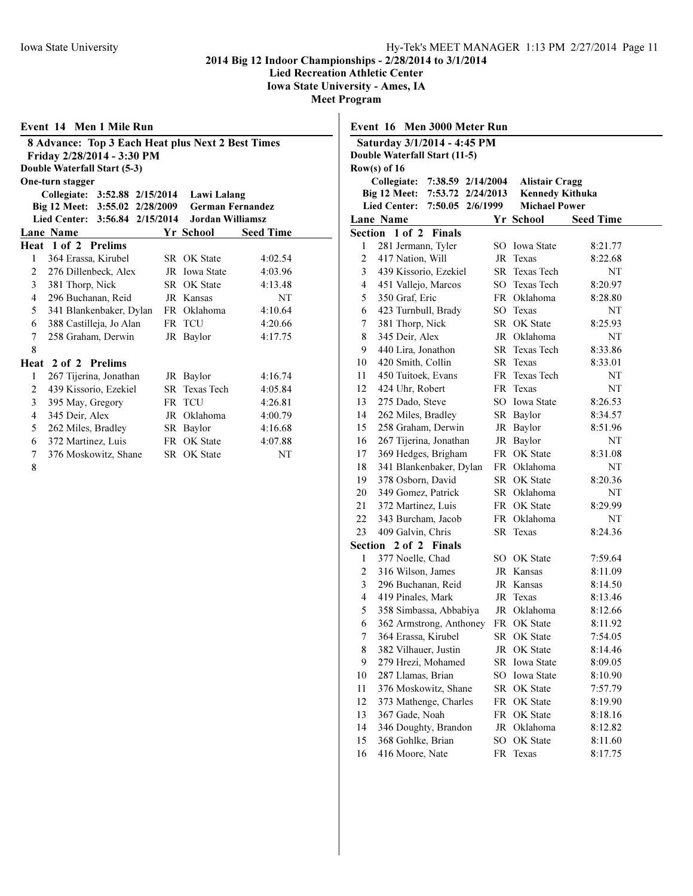Lied Recreation Athletic Center

Iowa State University - Ames, IA

|   | Event 14 Men 1 Mile Run                           |                         |                  |
|---|---------------------------------------------------|-------------------------|------------------|
|   | 8 Advance: Top 3 Each Heat plus Next 2 Best Times |                         |                  |
|   | Friday 2/28/2014 - 3:30 PM                        |                         |                  |
|   | Double Waterfall Start (5-3)                      |                         |                  |
|   | One-turn stagger                                  |                         |                  |
|   | Collegiate: 3:52.88 2/15/2014                     | Lawi Lalang             |                  |
|   | Big 12 Meet: 3:55.02 2/28/2009                    | <b>German Fernandez</b> |                  |
|   | Lied Center: 3:56.84 2/15/2014                    | Jordan Williamsz        |                  |
|   | <b>Lane Name</b>                                  | Yr School               | <b>Seed Time</b> |
|   | Heat 1 of 2 Prelims                               |                         |                  |
| 1 | 364 Erassa, Kirubel                               | SR OK State             | 4:02.54          |
| 2 | 276 Dillenbeck, Alex                              | JR Iowa State           | 4:03.96          |
| 3 | 381 Thorp, Nick                                   | <b>SR</b> OK State      | 4:13.48          |
| 4 | 296 Buchanan, Reid                                | JR Kansas               | NT               |
| 5 | 341 Blankenbaker, Dylan                           | FR Oklahoma             | 4:10.64          |
| 6 | 388 Castilleja, Jo Alan                           | FR TCU                  | 4:20.66          |
| 7 | 258 Graham, Derwin                                | JR Baylor               | 4:17.75          |
| 8 |                                                   |                         |                  |
|   | Heat 2 of 2 Prelims                               |                         |                  |
| 1 | 267 Tijerina, Jonathan                            | JR Baylor               | 4:16.74          |
| 2 | 439 Kissorio, Ezekiel                             | <b>SR</b> Texas Tech    | 4:05.84          |
| 3 | 395 May, Gregory                                  | FR TCU                  | 4:26.81          |
| 4 | 345 Deir, Alex                                    | JR Oklahoma             | 4:00.79          |
| 5 | 262 Miles, Bradley                                | SR Baylor               | 4:16.68          |
| 6 | 372 Martinez, Luis                                | FR OK State             | 4:07.88          |
| 7 | 376 Moskowitz, Shane                              | <b>SR</b> OK State      | NT               |
| 8 |                                                   |                         |                  |

|                         | Event 16 Men 3000 Meter Run                    |    |                          |                    |
|-------------------------|------------------------------------------------|----|--------------------------|--------------------|
|                         | Saturday 3/1/2014 - 4:45 PM                    |    |                          |                    |
|                         | Double Waterfall Start (11-5)                  |    |                          |                    |
|                         | Row(s) of $16$                                 |    |                          |                    |
|                         | Collegiate:<br>7:38.59 2/14/2004               |    | <b>Alistair Cragg</b>    |                    |
|                         | Big 12 Meet:<br>7:53.72 2/24/2013              |    | <b>Kennedy Kithuka</b>   |                    |
|                         | <b>Lied Center:</b><br>7:50.05 2/6/1999        |    | <b>Michael Power</b>     |                    |
|                         | Lane Name                                      |    | Yr School                | <b>Seed Time</b>   |
|                         | Section 1 of 2<br><b>Finals</b>                |    |                          |                    |
| 1                       | 281 Jermann, Tyler                             |    | SO Iowa State            | 8:21.77            |
| $\overline{\mathbf{c}}$ | 417 Nation, Will                               |    | JR Texas                 | 8:22.68            |
| 3                       | 439 Kissorio, Ezekiel                          |    | SR Texas Tech            | NΤ                 |
| 4                       | 451 Vallejo, Marcos                            |    | SO Texas Tech            | 8:20.97            |
| 5                       | 350 Graf, Eric                                 |    | FR Oklahoma              | 8:28.80            |
| 6                       | 423 Turnbull, Brady                            |    | SO Texas                 | NΤ                 |
| 7                       | 381 Thorp, Nick                                |    | SR OK State              | 8:25.93            |
| 8                       | 345 Deir, Alex                                 |    | JR Oklahoma              | NΤ                 |
| 9                       | 440 Lira, Jonathon                             |    | SR Texas Tech            | 8:33.86            |
| 10                      | 420 Smith, Collin                              |    | SR Texas                 | 8:33.01            |
| 11                      | 450 Tuitoek, Evans                             |    | FR Texas Tech            | NΤ                 |
| 12                      | 424 Uhr, Robert                                |    | FR Texas                 | NT                 |
| 13                      | 275 Dado, Steve                                |    | SO Iowa State            | 8:26.53            |
| 14                      | 262 Miles, Bradley                             |    | SR Baylor                | 8:34.57            |
| 15                      | 258 Graham, Derwin                             |    | JR Baylor                | 8:51.96            |
| 16                      | 267 Tijerina, Jonathan                         |    | JR Baylor                | NΤ                 |
| 17                      | 369 Hedges, Brigham                            |    | FR OK State              | 8:31.08            |
| 18                      | 341 Blankenbaker, Dylan                        |    | FR Oklahoma              | NΤ                 |
| 19                      | 378 Osborn, David                              |    | SR OK State              | 8:20.36            |
| 20                      | 349 Gomez, Patrick                             |    | SR Oklahoma              | NΤ                 |
| 21                      | 372 Martinez, Luis                             |    | FR OK State              | 8:29.99            |
| 22                      | 343 Burcham, Jacob                             |    | FR Oklahoma              | NΤ                 |
| 23                      | 409 Galvin, Chris                              |    | SR Texas                 | 8:24.36            |
|                         | Section 2 of 2 Finals                          |    |                          |                    |
| 1<br>2                  | 377 Noelle, Chad                               |    | SO OK State<br>JR Kansas | 7:59.64            |
| 3                       | 316 Wilson, James<br>296 Buchanan, Reid        |    | JR Kansas                | 8:11.09<br>8:14.50 |
| 4                       | 419 Pinales, Mark                              |    | JR Texas                 | 8:13.46            |
| 5                       | 358 Simbassa, Abbabiya                         |    | JR Oklahoma              | 8:12.66            |
| 6                       |                                                |    | FR OK State              | 8:11.92            |
| 7                       | 362 Armstrong, Anthoney<br>364 Erassa, Kirubel |    | SR OK State              | 7:54.05            |
| 8                       | 382 Vilhauer, Justin                           | JR | OK State                 | 8:14.46            |
| 9                       | 279 Hrezi, Mohamed                             |    | SR Iowa State            | 8:09.05            |
| 10                      | 287 Llamas, Brian                              | SO | Iowa State               | 8:10.90            |
| 11                      | 376 Moskowitz, Shane                           | SR | OK State                 | 7:57.79            |
| 12                      | 373 Mathenge, Charles                          | FR | OK State                 | 8:19.90            |
| 13                      | 367 Gade, Noah                                 | FR | OK State                 | 8:18.16            |
| 14                      | 346 Doughty, Brandon                           | JR | Oklahoma                 | 8:12.82            |
| 15                      | 368 Gohlke, Brian                              | SO | OK State                 | 8:11.60            |
| 16                      | 416 Moore, Nate                                | FR | Texas                    | 8:17.75            |
|                         |                                                |    |                          |                    |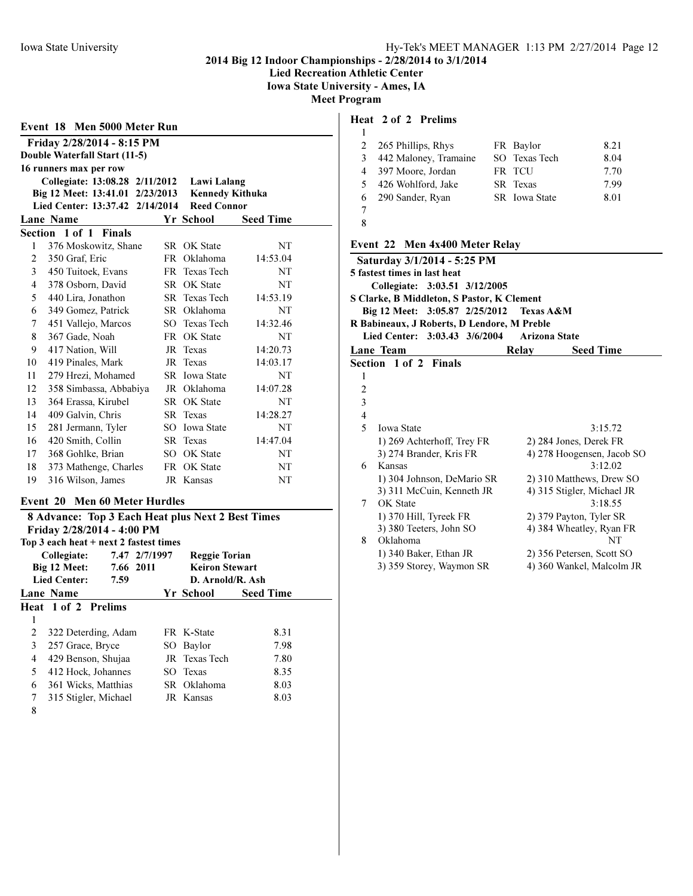Lied Recreation Athletic Center

Iowa State University - Ames, IA

Meet Program

|                | Double Waterfall Start (11-5)<br>16 runners max per row                                              |      |                                                             |                  |
|----------------|------------------------------------------------------------------------------------------------------|------|-------------------------------------------------------------|------------------|
|                | Collegiate: 13:08.28 2/11/2012<br>Big 12 Meet: 13:41.01 2/23/2013<br>Lied Center: 13:37.42 2/14/2014 |      | Lawi Lalang<br><b>Kennedy Kithuka</b><br><b>Reed Connor</b> |                  |
|                | Lane Name                                                                                            |      | Yr School                                                   | <b>Seed Time</b> |
|                | Section 1 of 1 Finals                                                                                |      |                                                             |                  |
| 1              | 376 Moskowitz, Shane                                                                                 |      | <b>SR</b> OK State                                          | <b>NT</b>        |
| $\overline{c}$ | 350 Graf, Eric                                                                                       | FR - | Oklahoma                                                    | 14:53.04         |
| 3              | 450 Tuitoek, Evans                                                                                   |      | FR Texas Tech                                               | NT               |
| 4              | 378 Osborn, David                                                                                    |      | <b>SR</b> OK State                                          | NT               |
| 5              | 440 Lira, Jonathon                                                                                   |      | <b>SR</b> Texas Tech                                        | 14:53.19         |
| 6              | 349 Gomez, Patrick                                                                                   |      | SR Oklahoma                                                 | NT               |
| 7              | 451 Vallejo, Marcos                                                                                  |      | SO Texas Tech                                               | 14:32.46         |
| 8              | 367 Gade, Noah                                                                                       |      | FR OK State                                                 | NT               |
| 9              | 417 Nation, Will                                                                                     | JR   | <b>Texas</b>                                                | 14:20.73         |
| 10             | 419 Pinales, Mark                                                                                    | JR   | Texas                                                       | 14:03.17         |
| 11             | 279 Hrezi, Mohamed                                                                                   |      | <b>SR</b> Iowa State                                        | NT               |
| 12             | 358 Simbassa, Abbabiya                                                                               |      | JR Oklahoma                                                 | 14:07.28         |
| 13             | 364 Erassa, Kirubel                                                                                  | SR - | OK State                                                    | NT               |
| 14             | 409 Galvin, Chris                                                                                    |      | SR Texas                                                    | 14:28.27         |
| 15             | 281 Jermann, Tyler                                                                                   |      | SO Iowa State                                               | NT               |
| 16             | 420 Smith, Collin                                                                                    |      | <b>SR</b> Texas                                             | 14:47.04         |
| 17             | 368 Gohlke, Brian                                                                                    | SO.  | OK State                                                    | NT               |
| 18             | 373 Mathenge, Charles                                                                                | FR - | OK State                                                    | NT               |
| 19             | 316 Wilson, James                                                                                    |      | JR Kansas                                                   | NT               |
|                | Event 20 Men 60 Meter Hurdles                                                                        |      |                                                             |                  |

|   | $10p$ 3 each near $\pm$ next 2 fastest thnes |                       |                  |  |
|---|----------------------------------------------|-----------------------|------------------|--|
|   | 7.47 2/7/1997<br>Collegiate:                 | <b>Reggie Torian</b>  |                  |  |
|   | Big 12 Meet:<br>7.66 2011                    | <b>Keiron Stewart</b> |                  |  |
|   | <b>Lied Center:</b><br>7.59                  | D. Arnold/R. Ash      |                  |  |
|   | Lane Name                                    | Yr School             | <b>Seed Time</b> |  |
|   | Heat 1 of 2 Prelims                          |                       |                  |  |
| 1 |                                              |                       |                  |  |
| 2 | 322 Deterding, Adam                          | FR K-State            | 8.31             |  |
| 3 | 257 Grace, Bryce                             | SO Baylor             | 7.98             |  |
| 4 | 429 Benson, Shujaa                           | JR Texas Tech         | 7.80             |  |
| 5 | 412 Hock, Johannes                           | SO Texas              | 8.35             |  |
| 6 | 361 Wicks, Matthias                          | SR Oklahoma           | 8.03             |  |
| 7 | 315 Stigler, Michael                         | JR Kansas             | 8.03             |  |
| Ջ |                                              |                       |                  |  |

| 1       |  |
|---------|--|
| ۱<br>ï  |  |
| ×<br>۰, |  |

## Heat 2 of 2 Prelims

|    | 2 265 Phillips, Rhys  | FR Baylor       | 8.21 |
|----|-----------------------|-----------------|------|
| 3  | 442 Maloney, Tramaine | SO Texas Tech   | 8.04 |
|    | 4 397 Moore, Jordan   | FR TCU          | 7.70 |
| 5. | 426 Wohlford, Jake    | <b>SR</b> Texas | 7.99 |
|    | 6 290 Sander, Ryan    | SR Iowa State   | 8.01 |
|    |                       |                 |      |

8

# Event 22 Men 4x400 Meter Relay

|                | Saturday 3/1/2014 - 5:25 PM                 |                      |                            |
|----------------|---------------------------------------------|----------------------|----------------------------|
|                | 5 fastest times in last heat                |                      |                            |
|                | Collegiate: 3:03.51 3/12/2005               |                      |                            |
|                | S Clarke, B Middleton, S Pastor, K Clement  |                      |                            |
|                | Big 12 Meet: 3:05.87 2/25/2012              | Texas A&M            |                            |
|                | R Babineaux, J Roberts, D Lendore, M Preble |                      |                            |
|                | Lied Center: 3:03.43 3/6/2004               | <b>Arizona State</b> |                            |
|                | Lane Team                                   | Relay                | <b>Seed Time</b>           |
|                | Section 1 of 2 Finals                       |                      |                            |
| 1              |                                             |                      |                            |
| 2              |                                             |                      |                            |
| 3              |                                             |                      |                            |
| $\overline{4}$ |                                             |                      |                            |
| 5              | <b>Iowa State</b>                           |                      | 3:15.72                    |
|                | 1) 269 Achterhoff, Trey FR                  |                      | 2) 284 Jones, Derek FR     |
|                | 3) 274 Brander, Kris FR                     |                      | 4) 278 Hoogensen, Jacob SO |
| 6              | Kansas                                      |                      | 3:12.02                    |
|                | 1) 304 Johnson, DeMario SR                  |                      | 2) 310 Matthews, Drew SO   |
|                | 3) 311 McCuin, Kenneth JR                   |                      | 4) 315 Stigler, Michael JR |
| 7              | OK State                                    |                      | 3:18.55                    |
|                | 1) 370 Hill, Tyreek FR                      |                      | 2) 379 Payton, Tyler SR    |
|                | 3) 380 Teeters, John SO                     |                      | 4) 384 Wheatley, Ryan FR   |
| 8              | Oklahoma                                    |                      | NT                         |
|                | 1) 340 Baker, Ethan JR                      |                      | 2) 356 Petersen, Scott SO  |
|                | 3) 359 Storey, Waymon SR                    |                      | 4) 360 Wankel, Malcolm JR  |
|                |                                             |                      |                            |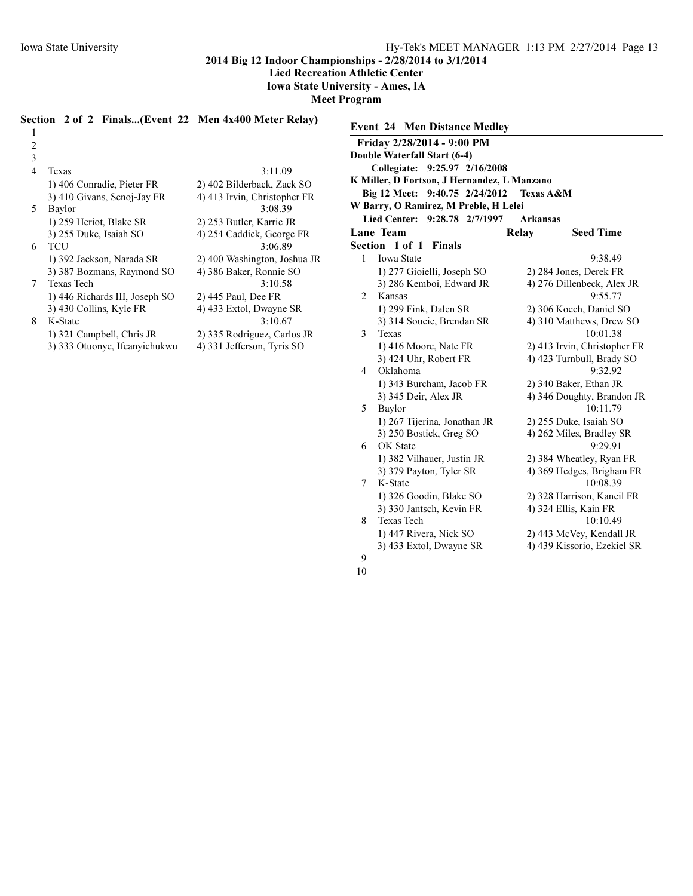1

2014 Big 12 Indoor Championships - 2/28/2014 to 3/1/2014

Lied Recreation Athletic Center

Iowa State University - Ames, IA

Meet Program

Event 24 Men Distance Medley Friday 2/28/2014 - 9:00 PM

# Section 2 of 2 Finals...(Event 22 Men 4x400 Meter Relay)

| 2 |                                |                              |
|---|--------------------------------|------------------------------|
| 3 |                                |                              |
| 4 | <b>Texas</b>                   | 3:11.09                      |
|   | 1) 406 Conradie, Pieter FR     | 2) 402 Bilderback, Zack SO   |
|   | 3) 410 Givans, Senoj-Jay FR    | 4) 413 Irvin, Christopher FR |
| 5 | Baylor                         | 3:08.39                      |
|   | 1) 259 Heriot, Blake SR        | 2) 253 Butler, Karrie JR     |
|   | 3) 255 Duke, Isaiah SO         | 4) 254 Caddick, George FR    |
| 6 | TCU                            | 3:06.89                      |
|   | 1) 392 Jackson, Narada SR      | 2) 400 Washington, Joshua JR |
|   | 3) 387 Bozmans, Raymond SO     | 4) 386 Baker, Ronnie SO      |
| 7 | Texas Tech                     | 3:10.58                      |
|   | 1) 446 Richards III, Joseph SO | 2) 445 Paul, Dee FR          |
|   | 3) 430 Collins, Kyle FR        | 4) 433 Extol, Dwayne SR      |
| 8 | K-State                        | 3:10.67                      |
|   | 1) 321 Campbell, Chris JR      | 2) 335 Rodriguez, Carlos JR  |
|   | 3) 333 Otuonye, Ifeanyichukwu  | 4) 331 Jefferson, Tyris SO   |

|                | $1.104$ , $2.20201$ $-7.0011$               |           |                              |
|----------------|---------------------------------------------|-----------|------------------------------|
|                | Double Waterfall Start (6-4)                |           |                              |
|                | Collegiate: 9:25.97 2/16/2008               |           |                              |
|                | K Miller, D Fortson, J Hernandez, L Manzano |           |                              |
|                | Big 12 Meet: 9:40.75 2/24/2012              | Texas A&M |                              |
|                | W Barry, O Ramirez, M Preble, H Lelei       |           |                              |
|                | Lied Center: 9:28.78 2/7/1997               | Arkansas  |                              |
|                | Lane Team                                   | Relay     | <b>Seed Time</b>             |
|                | Section 1 of 1<br><b>Finals</b>             |           |                              |
| 1              | <b>Iowa State</b>                           |           | 9:38.49                      |
|                | 1) 277 Gioielli, Joseph SO                  |           | 2) 284 Jones, Derek FR       |
|                | 3) 286 Kemboi, Edward JR                    |           | 4) 276 Dillenbeck, Alex JR   |
| $\overline{c}$ | Kansas                                      |           | 9:55.77                      |
|                | 1) 299 Fink, Dalen SR                       |           | 2) 306 Koech, Daniel SO      |
|                | 3) 314 Soucie, Brendan SR                   |           | 4) 310 Matthews, Drew SO     |
| 3              | Texas                                       |           | 10:01.38                     |
|                | 1) 416 Moore, Nate FR                       |           | 2) 413 Irvin, Christopher FR |
|                | 3) 424 Uhr, Robert FR                       |           | 4) 423 Turnbull, Brady SO    |
| 4              | Oklahoma                                    |           | 9:32.92                      |
|                | 1) 343 Burcham, Jacob FR                    |           | 2) 340 Baker, Ethan JR       |
|                | 3) 345 Deir, Alex JR                        |           | 4) 346 Doughty, Brandon JR   |
| 5              | Baylor                                      |           | 10:11.79                     |
|                | 1) 267 Tijerina, Jonathan JR                |           | 2) 255 Duke, Isaiah SO       |
|                | 3) 250 Bostick, Greg SO                     |           | 4) 262 Miles, Bradley SR     |
| 6              | OK State                                    |           | 9:29.91                      |
|                | 1) 382 Vilhauer, Justin JR                  |           | 2) 384 Wheatley, Ryan FR     |
|                | 3) 379 Payton, Tyler SR                     |           | 4) 369 Hedges, Brigham FR    |
| 7              | K-State                                     |           | 10:08.39                     |
|                | 1) 326 Goodin, Blake SO                     |           | 2) 328 Harrison, Kaneil FR   |
|                | 3) 330 Jantsch, Kevin FR                    |           | 4) 324 Ellis, Kain FR        |
| 8              | <b>Texas Tech</b>                           |           | 10:10.49                     |
|                | 1) 447 Rivera, Nick SO                      |           | 2) 443 McVey, Kendall JR     |

3) 433 Extol, Dwayne SR 4) 439 Kissorio, Ezekiel SR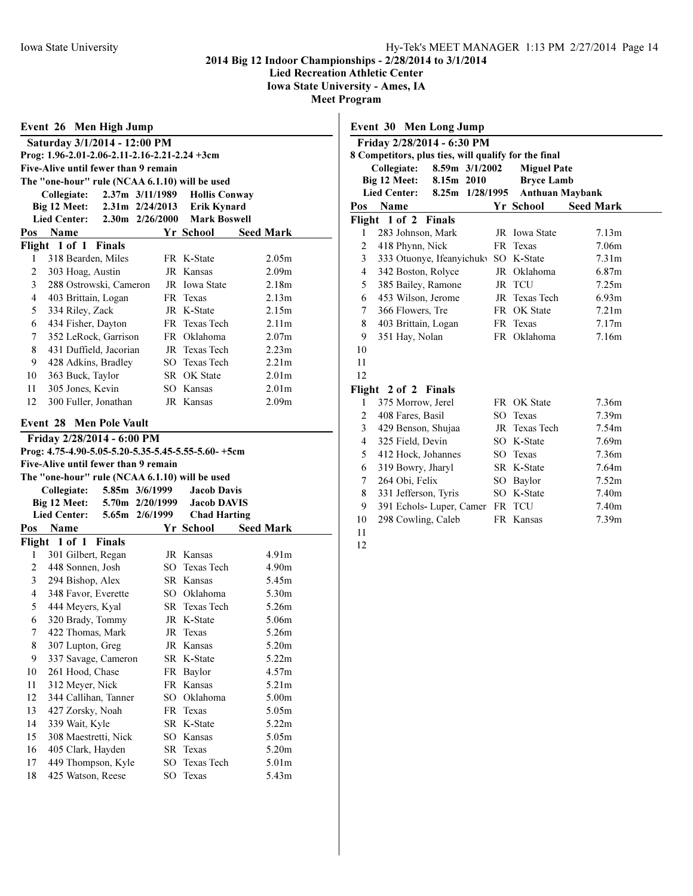Lied Recreation Athletic Center

Iowa State University - Ames, IA

|                | Event 26 Men High Jump                         |                     |                 |                                                    |                   |  |
|----------------|------------------------------------------------|---------------------|-----------------|----------------------------------------------------|-------------------|--|
|                | Saturday 3/1/2014 - 12:00 PM                   |                     |                 |                                                    |                   |  |
|                | Prog: 1.96-2.01-2.06-2.11-2.16-2.21-2.24 +3cm  |                     |                 |                                                    |                   |  |
|                | Five-Alive until fewer than 9 remain           |                     |                 |                                                    |                   |  |
|                | The "one-hour" rule (NCAA 6.1.10) will be used |                     |                 |                                                    |                   |  |
|                | Collegiate:                                    | $2.37m$ $3/11/1989$ |                 | <b>Hollis Conway</b>                               |                   |  |
|                | Big 12 Meet:                                   |                     |                 | 2.31m 2/24/2013 Erik Kynard                        |                   |  |
|                | <b>Lied Center:</b>                            | 2.30m 2/26/2000     |                 | <b>Mark Boswell</b>                                |                   |  |
| Pos            | Name                                           |                     |                 | Yr School                                          | <b>Seed Mark</b>  |  |
|                | Flight 1 of 1 Finals                           |                     |                 |                                                    |                   |  |
| 1              | 318 Bearden, Miles                             |                     |                 | FR K-State                                         | 2.05m             |  |
| $\overline{2}$ | 303 Hoag, Austin                               |                     |                 | JR Kansas                                          | 2.09 <sub>m</sub> |  |
| 3              | 288 Ostrowski, Cameron                         |                     |                 | JR Iowa State                                      | 2.18 <sub>m</sub> |  |
| 4              | 403 Brittain, Logan                            |                     |                 | FR Texas                                           | 2.13m             |  |
| 5              | 334 Riley, Zack                                |                     |                 | JR K-State                                         | 2.15m             |  |
| 6              | 434 Fisher, Dayton                             |                     |                 | FR Texas Tech                                      | 2.11 <sub>m</sub> |  |
| 7              | 352 LeRock, Garrison                           |                     |                 | FR Oklahoma                                        | 2.07m             |  |
| 8              | 431 Duffield, Jacorian                         |                     |                 | JR Texas Tech                                      | 2.23m             |  |
| 9              | 428 Adkins, Bradley                            |                     |                 | SO Texas Tech                                      | 2.21 <sub>m</sub> |  |
| 10             | 363 Buck, Taylor                               |                     |                 | SR OK State                                        | 2.01 <sub>m</sub> |  |
| 11             | 305 Jones, Kevin                               |                     |                 | SO Kansas                                          | 2.01 <sub>m</sub> |  |
| 12             | 300 Fuller, Jonathan                           |                     |                 | JR Kansas                                          | 2.09 <sub>m</sub> |  |
|                | <b>Event 28 Men Pole Vault</b>                 |                     |                 |                                                    |                   |  |
|                | Friday 2/28/2014 - 6:00 PM                     |                     |                 |                                                    |                   |  |
|                |                                                |                     |                 |                                                    |                   |  |
|                |                                                |                     |                 |                                                    |                   |  |
|                | Five-Alive until fewer than 9 remain           |                     |                 | Prog: 4.75-4.90-5.05-5.20-5.35-5.45-5.55-5.60-+5cm |                   |  |
|                | The "one-hour" rule (NCAA 6.1.10) will be used |                     |                 |                                                    |                   |  |
|                | Collegiate:                                    | 5.85m 3/6/1999      |                 | <b>Jacob Davis</b>                                 |                   |  |
|                | Big 12 Meet:                                   | 5.70m 2/20/1999     |                 | <b>Jacob DAVIS</b>                                 |                   |  |
|                | <b>Lied Center:</b>                            | 5.65m 2/6/1999      |                 | <b>Chad Harting</b>                                |                   |  |
|                | Pos Name                                       |                     |                 | Yr School                                          | <b>Seed Mark</b>  |  |
|                | Flight 1 of 1 Finals                           |                     |                 |                                                    |                   |  |
| 1              | 301 Gilbert, Regan                             |                     |                 | JR Kansas                                          | 4.91 <sub>m</sub> |  |
| 2              | 448 Sonnen, Josh                               |                     |                 | SO Texas Tech                                      | 4.90m             |  |
| 3              | 294 Bishop, Alex                               |                     |                 | SR Kansas                                          | 5.45m             |  |
| 4              | 348 Favor, Everette                            |                     |                 | SO Oklahoma                                        | 5.30m             |  |
| 5              | 444 Meyers, Kyal                               |                     |                 | SR Texas Tech                                      | 5.26m             |  |
| 6              | 320 Brady, Tommy                               |                     |                 | JR K-State                                         | 5.06m             |  |
| 7              | 422 Thomas, Mark                               |                     |                 | JR Texas                                           | 5.26m             |  |
| $\bf 8$        | 307 Lupton, Greg                               |                     |                 | JR Kansas                                          | 5.20m             |  |
| 9              | 337 Savage, Cameron                            |                     |                 | SR K-State                                         | 5.22m             |  |
| 10             | 261 Hood, Chase                                |                     |                 | FR Baylor                                          | 4.57m             |  |
| 11             | 312 Meyer, Nick                                |                     |                 | FR Kansas                                          | 5.21m             |  |
| 12             | 344 Callihan, Tanner                           |                     | SO              | Oklahoma                                           | 5.00m             |  |
| 13             | 427 Zorsky, Noah                               |                     |                 | FR Texas                                           | 5.05m             |  |
| 14             | 339 Wait, Kyle                                 |                     |                 | SR K-State                                         | 5.22m             |  |
| 15             | 308 Maestretti, Nick                           |                     |                 | SO Kansas                                          | 5.05m             |  |
| 16             | 405 Clark, Hayden                              |                     |                 | SR Texas                                           | 5.20m             |  |
| 17<br>18       | 449 Thompson, Kyle<br>425 Watson, Reese        |                     | SO <sub>1</sub> | Texas Tech<br>SO Texas                             | 5.01m<br>5.43m    |  |

|                | 8 Competitors, plus ties, will qualify for the final<br>8.59m 3/1/2002<br>Collegiate: | <b>Miguel Pate</b>                  |                   |
|----------------|---------------------------------------------------------------------------------------|-------------------------------------|-------------------|
|                | Big 12 Meet:<br>8.15m 2010                                                            | <b>Bryce Lamb</b>                   |                   |
|                | <b>Lied Center:</b><br>8.25m 1/28/1995                                                | <b>Anthuan Maybank</b><br>Yr School | <b>Seed Mark</b>  |
| Pos            | Name<br>Flight 1 of 2<br><b>Finals</b>                                                |                                     |                   |
| 1              | 283 Johnson, Mark                                                                     | JR Iowa State                       | 7.13m             |
| $\overline{c}$ | 418 Phynn, Nick                                                                       | FR Texas                            | 7.06m             |
| 3              | 333 Otuonye, Ifeanyichuk SO K-State                                                   |                                     | 7.31m             |
| 4              | 342 Boston, Rolyce                                                                    | JR Oklahoma                         | 6.87m             |
| 5              | 385 Bailey, Ramone                                                                    | JR TCU                              | 7.25m             |
| 6              | 453 Wilson, Jerome                                                                    | JR Texas Tech                       | 6.93 <sub>m</sub> |
| 7              | 366 Flowers, Tre                                                                      | FR OK State                         | 7.21 <sub>m</sub> |
| 8              | 403 Brittain, Logan                                                                   | FR Texas                            | 7.17m             |
| 9              | 351 Hay, Nolan                                                                        | FR Oklahoma                         | 7.16m             |
| 10             |                                                                                       |                                     |                   |
| 11             |                                                                                       |                                     |                   |
| 12             |                                                                                       |                                     |                   |
|                | Flight 2 of 2 Finals                                                                  |                                     |                   |
| 1              | 375 Morrow, Jerel                                                                     | FR OK State                         | 7.36m             |
| $\overline{c}$ | 408 Fares, Basil                                                                      | SO Texas                            | 7.39 <sub>m</sub> |
| 3              | 429 Benson, Shujaa                                                                    | JR Texas Tech                       | 7.54m             |
| 4              | 325 Field, Devin                                                                      | SO K-State                          | 7.69 <sub>m</sub> |
| 5              | 412 Hock, Johannes                                                                    | SO Texas                            | 7.36m             |
| 6              | 319 Bowry, Jharyl                                                                     | SR K-State                          | 7.64m             |
| 7              | 264 Obi, Felix                                                                        | SO Baylor                           | 7.52m             |
| 8              | 331 Jefferson, Tyris                                                                  | SO K-State                          | 7.40m             |
| 9              | 391 Echols- Luper, Camer FR TCU                                                       |                                     | 7.40m             |
| 10             | 298 Cowling, Caleb                                                                    | FR Kansas                           | 7.39m             |
|                |                                                                                       |                                     |                   |
| 11<br>12       |                                                                                       |                                     |                   |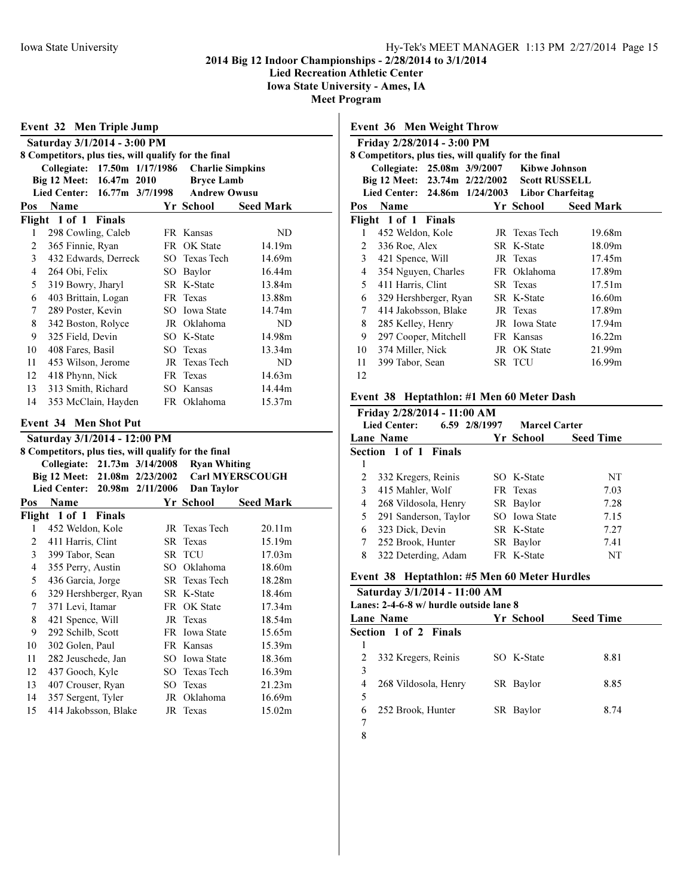Lied Recreation Athletic Center

Iowa State University - Ames, IA Meet Program

|  | 111 VV LIVE |  |  |
|--|-------------|--|--|
|  |             |  |  |

|     | Event 32 Men Triple Jump                             |             |                  |                                                      |                        |  |  |  |
|-----|------------------------------------------------------|-------------|------------------|------------------------------------------------------|------------------------|--|--|--|
|     | Saturday 3/1/2014 - 3:00 PM                          |             |                  |                                                      |                        |  |  |  |
|     | 8 Competitors, plus ties, will qualify for the final |             |                  |                                                      |                        |  |  |  |
|     | Collegiate: 17.50m 1/17/1986                         |             |                  | <b>Charlie Simpkins</b>                              |                        |  |  |  |
|     | Big 12 Meet:                                         | 16.47m 2010 |                  | <b>Bryce Lamb</b>                                    |                        |  |  |  |
|     | <b>Lied Center:</b>                                  |             | 16.77m 3/7/1998  | <b>Andrew Owusu</b>                                  |                        |  |  |  |
| Pos | Name                                                 |             |                  | Yr School                                            | <b>Seed Mark</b>       |  |  |  |
|     | Flight 1 of 1 Finals                                 |             |                  |                                                      |                        |  |  |  |
| 1   | 298 Cowling, Caleb                                   |             |                  | FR Kansas                                            | ND                     |  |  |  |
| 2   | 365 Finnie, Ryan                                     |             |                  | FR OK State                                          | 14.19m                 |  |  |  |
| 3   | 432 Edwards, Derreck                                 |             |                  | SO Texas Tech                                        | 14.69m                 |  |  |  |
| 4   | 264 Obi, Felix                                       |             |                  | SO Baylor                                            | 16.44m                 |  |  |  |
| 5   | 319 Bowry, Jharyl                                    |             |                  | SR K-State                                           | 13.84m                 |  |  |  |
| 6   | 403 Brittain, Logan                                  |             |                  | FR Texas                                             | 13.88m                 |  |  |  |
| 7   | 289 Poster, Kevin                                    |             |                  | SO Iowa State                                        | 14.74m                 |  |  |  |
| 8   | 342 Boston, Rolyce                                   |             |                  | JR Oklahoma                                          | ND                     |  |  |  |
| 9   | 325 Field, Devin                                     |             |                  | SO K-State                                           | 14.98m                 |  |  |  |
| 10  | 408 Fares, Basil                                     |             |                  | SO Texas                                             | 13.34m                 |  |  |  |
| 11  | 453 Wilson, Jerome                                   |             |                  | JR Texas Tech                                        | ND                     |  |  |  |
| 12  | 418 Phynn, Nick                                      |             |                  | FR Texas                                             | 14.63m                 |  |  |  |
| 13  | 313 Smith, Richard                                   |             |                  | SO Kansas                                            | 14.44m                 |  |  |  |
| 14  | 353 McClain, Hayden                                  |             |                  | FR Oklahoma                                          | 15.37m                 |  |  |  |
|     | <b>Event 34 Men Shot Put</b>                         |             |                  |                                                      |                        |  |  |  |
|     | Saturday 3/1/2014 - 12:00 PM                         |             |                  |                                                      |                        |  |  |  |
|     |                                                      |             |                  | 8 Competitors, plus ties, will qualify for the final |                        |  |  |  |
|     | Collegiate: 21.73m 3/14/2008                         |             |                  | <b>Ryan Whiting</b>                                  |                        |  |  |  |
|     | Big 12 Meet: 21.08m 2/23/2002                        |             |                  |                                                      | <b>Carl MYERSCOUGH</b> |  |  |  |
|     | <b>Lied Center:</b>                                  |             | 20.98m 2/11/2006 | Dan Taylor                                           |                        |  |  |  |
| Pos | <b>Name</b>                                          |             |                  | Yr School                                            | <b>Seed Mark</b>       |  |  |  |
|     | Flight 1 of 1 Finals                                 |             |                  |                                                      |                        |  |  |  |
| 1   | 452 Weldon, Kole                                     |             |                  | JR Texas Tech                                        | 20.11m                 |  |  |  |
| 2   | 411 Harris, Clint                                    |             |                  | SR Texas                                             | 15.19m                 |  |  |  |
| 3   | 399 Tabor, Sean                                      |             |                  | SR TCU                                               | 17.03 <sub>m</sub>     |  |  |  |
| 4   | 355 Perry, Austin                                    |             |                  | SO Oklahoma                                          | 18.60m                 |  |  |  |
| 5   | 436 Garcia, Jorge                                    |             |                  | <b>SR</b> Texas Tech                                 | 18.28m                 |  |  |  |
| 6   | 329 Hershberger, Ryan                                |             |                  | SR K-State                                           | 18.46m                 |  |  |  |
| 7   | 371 Levi, Itamar                                     |             |                  | FR OK State                                          | 17.34m                 |  |  |  |
| 8   | 421 Spence, Will                                     |             |                  | JR Texas                                             | 18.54m                 |  |  |  |
| 9   | 292 Schilb, Scott                                    |             | FR               | Iowa State                                           | 15.65m                 |  |  |  |
| 10  | 302 Golen, Paul                                      |             | FR               | Kansas                                               | 15.39m                 |  |  |  |
| 11  | 282 Jeuschede, Jan                                   |             | SO <sub>1</sub>  | Iowa State                                           | 18.36m                 |  |  |  |
| 12  | 437 Gooch, Kyle                                      |             | SO               | Texas Tech                                           | 16.39m                 |  |  |  |
| 13  | 407 Crouser, Ryan                                    |             | SO               | Texas                                                | 21.23m                 |  |  |  |
| 14  | 357 Sergent, Tyler                                   |             | JR               | Oklahoma                                             | 16.69m                 |  |  |  |
| 15  | 414 Jakobsson, Blake                                 |             | JR               | Texas                                                | 15.02m                 |  |  |  |

|                | <b>Event 36 Men Weight Throw</b>                     |               |                  |  |
|----------------|------------------------------------------------------|---------------|------------------|--|
|                | Friday 2/28/2014 - 3:00 PM                           |               |                  |  |
|                | 8 Competitors, plus ties, will qualify for the final |               |                  |  |
|                | Collegiate: 25.08m 3/9/2007 Kibwe Johnson            |               |                  |  |
|                | Big 12 Meet: 23.74m 2/22/2002 Scott RUSSELL          |               |                  |  |
|                | Lied Center: 24.86m 1/24/2003 Libor Charfeitag       |               |                  |  |
| Pos            | Name                                                 | Yr School     | <b>Seed Mark</b> |  |
|                | Flight 1 of 1 Finals                                 |               |                  |  |
| 1              | 452 Weldon, Kole                                     | JR Texas Tech | 19.68m           |  |
| 2              | 336 Roe, Alex                                        | SR K-State    | 18.09m           |  |
| $\mathfrak{Z}$ | 421 Spence, Will                                     | JR Texas      | 17.45m           |  |
| 4              | 354 Nguyen, Charles                                  | FR Oklahoma   | 17.89m           |  |
| 5.             | 411 Harris, Clint                                    | SR Texas      | 17.51m           |  |
| 6              | 329 Hershberger, Ryan                                | SR K-State    | 16.60m           |  |
| 7              | 414 Jakobsson, Blake                                 | JR Texas      | 17.89m           |  |
| 8              | 285 Kelley, Henry                                    | JR Iowa State | 17.94m           |  |
| 9              | 297 Cooper, Mitchell                                 | FR Kansas     | 16.22m           |  |
| 10             | 374 Miller, Nick                                     | JR OK State   | 21.99m           |  |
| 11             | 399 Tabor, Sean                                      | SR TCU        | 16.99m           |  |
| 12             |                                                      |               |                  |  |
|                |                                                      |               |                  |  |

## Event 38 Heptathlon: #1 Men 60 Meter Dash

| Friday 2/28/2014 - 11:00 AM<br><b>Lied Center:</b><br>6.59 2/8/1997<br><b>Marcel Carter</b> |                       |  |               |                  |  |  |  |
|---------------------------------------------------------------------------------------------|-----------------------|--|---------------|------------------|--|--|--|
|                                                                                             | Lane Name             |  | Yr School     | <b>Seed Time</b> |  |  |  |
|                                                                                             | Section 1 of 1 Finals |  |               |                  |  |  |  |
| 1                                                                                           |                       |  |               |                  |  |  |  |
| $\overline{2}$                                                                              | 332 Kregers, Reinis   |  | SO K-State    | NT               |  |  |  |
| 3                                                                                           | 415 Mahler, Wolf      |  | FR Texas      | 7.03             |  |  |  |
| 4                                                                                           | 268 Vildosola, Henry  |  | SR Baylor     | 7.28             |  |  |  |
| 5                                                                                           | 291 Sanderson, Taylor |  | SO Iowa State | 7.15             |  |  |  |
| 6                                                                                           | 323 Dick, Devin       |  | SR K-State    | 7.27             |  |  |  |
| 7                                                                                           | 252 Brook, Hunter     |  | SR Baylor     | 7.41             |  |  |  |
| 8                                                                                           | 322 Deterding, Adam   |  | FR K-State    | NT               |  |  |  |

## Event 38 Heptathlon: #5 Men 60 Meter Hurdles

| Saturday 3/1/2014 - 11:00 AM<br>Lanes: 2-4-6-8 w/ hurdle outside lane 8 |            |                  |  |  |  |  |  |
|-------------------------------------------------------------------------|------------|------------------|--|--|--|--|--|
| Lane Name                                                               | Yr School  | <b>Seed Time</b> |  |  |  |  |  |
| Section 1 of 2 Finals                                                   |            |                  |  |  |  |  |  |
| 1                                                                       |            |                  |  |  |  |  |  |
| 2<br>332 Kregers, Reinis                                                | SO K-State | 8.81             |  |  |  |  |  |
| 3                                                                       |            |                  |  |  |  |  |  |
| 268 Vildosola, Henry<br>4                                               | SR Baylor  | 8.85             |  |  |  |  |  |
| 5                                                                       |            |                  |  |  |  |  |  |
| 252 Brook, Hunter<br>6                                                  | SR Baylor  | 8.74             |  |  |  |  |  |
|                                                                         |            |                  |  |  |  |  |  |
| 8                                                                       |            |                  |  |  |  |  |  |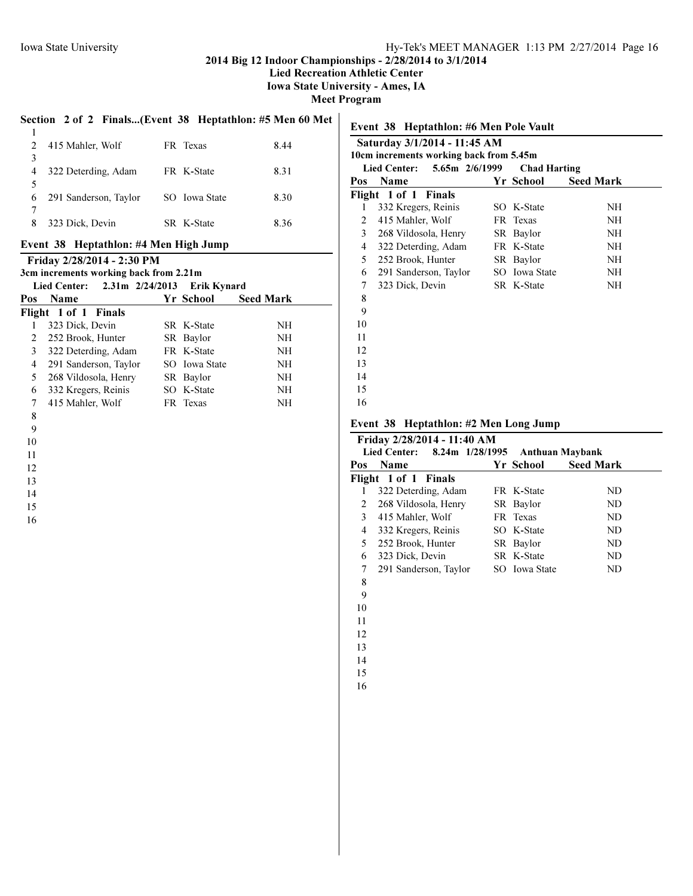#### 2014 Big 12 Indoor Championships - 2/28/2014 to 3/1/2014

Lied Recreation Athletic Center

Iowa State University - Ames, IA

Meet Program

### Section 2 of 2 Finals...(Event 38 Heptathlon: #5 Men 60 Met

| 2           | 415 Mahler, Wolf      | FR Texas      | 8.44 |
|-------------|-----------------------|---------------|------|
| $\mathbf 3$ |                       |               |      |
| 4           | 322 Deterding, Adam   | FR K-State    | 8.31 |
|             |                       |               |      |
| 6           | 291 Sanderson, Taylor | SO Iowa State | 8.30 |
|             |                       |               |      |
| 8           | 323 Dick, Devin       | SR K-State    | 8.36 |
|             |                       |               |      |

# Event 38 Heptathlon: #4 Men High Jump

|     | Friday 2/28/2014 - 2:30 PM<br>3cm increments working back from 2.21m |                    |                  |
|-----|----------------------------------------------------------------------|--------------------|------------------|
|     | Lied Center: $2.31m$ $2/24/2013$                                     | <b>Erik Kynard</b> |                  |
| Pos | <b>Name</b>                                                          | Yr School          | <b>Seed Mark</b> |
|     | Flight 1 of 1 Finals                                                 |                    |                  |
| 1   | 323 Dick, Devin                                                      | SR K-State         | NH               |
| 2   | 252 Brook, Hunter                                                    | SR Baylor          | NH               |
| 3   | 322 Deterding, Adam                                                  | FR K-State         | NH               |
| 4   | 291 Sanderson, Taylor                                                | SO Iowa State      | NH               |
| 5   | 268 Vildosola, Henry                                                 | SR Baylor          | NH               |
| 6   | 332 Kregers, Reinis                                                  | SO K-State         | NH               |
| 7   | 415 Mahler, Wolf                                                     | FR Texas           | NH               |
| 8   |                                                                      |                    |                  |

# Event 38 Heptathlon: #6 Men Pole Vault Saturday 3/1/2014 - 11:45 AM 10cm increments working back from 5.45m Lied Center: 5.65m 2/6/1999 Chad Harting Pos Name Yr School Seed Mark Flight 1 of 1 Finals 332 Kregers, Reinis SO K-State NH 2 415 Mahler, Wolf FR Texas NH 268 Vildosola, Henry SR Baylor NH 322 Deterding, Adam FR K-State NH 252 Brook, Hunter SR Baylor NH 291 Sanderson, Taylor SO Iowa State NH 323 Dick, Devin SR K-State NH

# Event 38 Heptathlon: #2 Men Long Jump

|     | Lied Center: 8.24m 1/28/1995 | <b>Anthuan Maybank</b> |                  |
|-----|------------------------------|------------------------|------------------|
| Pos | Name                         | Yr School              | <b>Seed Mark</b> |
|     | Flight 1 of 1 Finals         |                        |                  |
| 1   | 322 Deterding, Adam          | FR K-State             | ND.              |
| 2   | 268 Vildosola, Henry         | SR Baylor              | ND.              |
| 3   | 415 Mahler, Wolf             | FR Texas               | ND.              |
| 4   | 332 Kregers, Reinis          | SO K-State             | ND.              |
| 5   | 252 Brook, Hunter            | SR Baylor              | ND.              |
| 6   | 323 Dick, Devin              | SR K-State             | ND.              |
| 7   | 291 Sanderson, Taylor        | SO Iowa State          | ND.              |
| 8   |                              |                        |                  |
| 9   |                              |                        |                  |